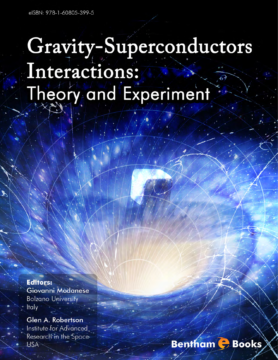# Gravity-Superconductors

# Interactions: Theory and Experiment

**Editors:** Giovanni Modanese **Bolzano University Italy** 

Glen A. Robertson Institute for Advanced Research in the Space **USA** 

# **Bentham G** Books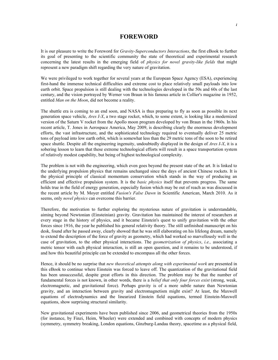#### **FOREWORD**

It is our pleasure to write the Foreword for *Gravity-Superconductors Interactions*, the first eBook to further its goal of presenting to the scientific community the state of theoretical and experimental research concerning the latest results in the emerging field of *physics for novel gravity-like fields* that might represent a new paradigm shift regarding the very nature of gravitation.

We were privileged to work together for several years at the European Space Agency (ESA), experiencing first-hand the immense technical difficulties and extreme cost to place relatively small payloads into low earth orbit. Space propulsion is still dealing with the technologies developed in the 50s and 60s of the last century, and the vision portrayed by Werner von Braun in his famous article in Collier's magazine in 1952, entitled *Man on the Moon*, did not become a reality.

The shuttle era is coming to an end soon, and NASA is thus preparing to fly as soon as possible its next generation space vehicle, *Ares I-X*, a two stage rocket, which, to some extent, is looking like a modernized version of the Saturn V rocket from the Apollo moon program developed by von Braun in the 1960s. In his recent article, T. Jones in Aerospace America, May 2009, is describing clearly the enormous development efforts, the vast infrastructure, and the sophisticated technology required to eventually deliver 25 metric tons of payload into low earth orbit, which is somewhat less than the 29 metric tons of the soon to be retired space shuttle. Despite all the engineering ingenuity, undoubtedly displayed in the design of *Ares I-X*, it is a sobering lesson to learn that these extreme technological efforts will result in a space transportation system of relatively modest capability, but being of highest technological complexity.

The problem is not with the engineering, which even goes beyond the present state of the art. It is linked to the underlying propulsion physics that remains unchanged since the days of ancient Chinese rockets. It is the physical principle of classical momentum conservation which stands in the way of producing an efficient and effective propulsion system. It is the *basic physics* itself that prevents progress. The same holds true in the field of energy generation, especially fusion which may be out of reach as was discussed in the recent article by M. Moyer entitled *Fusion's False Dawn* in Scientific American, March 2010. As it seems, only *novel physics* can overcome this barrier.

Therefore, the motivation to further exploring the mysterious nature of gravitation is understandable, aiming beyond Newtonian (Einsteinian) gravity. Gravitation has maintained the interest of researchers at every stage in the history of physics, and it became Einstein's quest to unify gravitation with the other forces since 1916, the year he published his general relativity theory. The still unfinished manuscript on his desk, found after he passed away, clearly showed that he was still elaborating on his lifelong dream, namely to extend the description of the force of gravity as geometry, which had worked so marvellously well in the case of gravitation, to the other physical interactions. The *geometrization of physics*, *i.e.,* associating a metric tensor with each physical interaction, is still an open question, and it remains to be understood, if and how this beautiful principle can be extended to encompass all the other forces.

Hence, it should be no surprise that *new theoretical attempts along with experimental work* are presented in this eBook to continue where Einstein was forced to leave off. The quantization of the gravitational field has been unsuccessful, despite great efforts in this direction. The problem may be that the number of fundamental forces is not known, in other words, there is a *belief that only four forces exist* (strong, weak, electromagnetic, and gravitational force). Perhaps gravity is of a more subtle nature than Newtonian gravity, and an interaction between gravity and electromagnetism might exist? At least, the Maxwell equations of electrodynamics and the linearized Einstein field equations, termed Einstein-Maxwell equations, show surprising structural similarity.

New gravitational experiments have been published since 2006, and geometrical theories from the 1950s (for instance, by Finzi, Heim, Wheeler) were extended and combined with concepts of modern physics (symmetry, symmetry breaking, London equations, Ginzburg-Landau theory, spacetime as a physical field,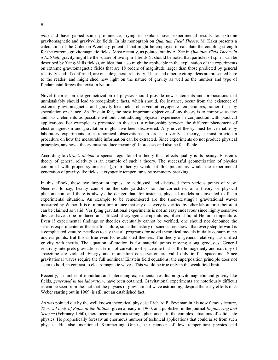*etc.*) and have gained some prominence, trying to explain novel experimental results for extreme gravitomagnetic and gravity-like fields. In his monograph on *Quantum Field Theory*, M. Kaku presents a calculation of the Coleman-Weinberg potential that might be employed to calculate the coupling strength for the extreme gravitomagnetic fields. Most recently, as pointed out by A. Zee in *Quantum Field Theory in a Nutshell*, gravity might be the square of two spin 1 fields (it should be noted that particles of spin 1 can be described by Yang-Mills fields), an idea that also might be applicable in the explanation of the experiments on extreme gravitomagnetic fields that are 18 orders of magnitude larger than those predicted by general relativity, and, if confirmed, are outside general relativity. These and other exciting ideas are presented here to the reader, and might shed new light on the nature of gravity as well as the number and type of fundamental forces that exist in Nature.

Novel theories on the geometrization of physics should provide new statements and propositions that unmistakably should lead to recognizable facts, which should, for instance, occur from the existence of extreme gravitomagnetic and gravity-like fields observed at cryogenic temperatures, rather than by speculation or chance. As Einstein felt, the most important objective of any theory is to comprise as few and basic elements as possible without contradicting physical experience in conjunction with practical applications. For example, as presented in this text, a relationship between the different phenomena of electromagnetism and gravitation might have been discovered. Any novel theory must be verifiable by laboratory experiments or astronomical observations. In order to verify a theory, it must provide a procedure on how the measurable information can be extracted. Since experiments do not produce physical principles, any novel theory must produce meaningful forecasts and also be falsifiable.

According to *Dirac's dictum*: a special regulator of a theory that reflects quality is its beauty. Einstein's theory of general relativity is an example of such a theory. The successful geometrization of physics combined with proper symmetries (group theory) would fit this picture as would the experimental generation of gravity-like fields at cryogenic temperatures by symmetry breaking.

In this eBook, these two important topics are addressed and discussed from various points of view. Needless to say, beauty cannot be the sole yardstick for the correctness of a theory or physical phenomenon, and there is always the danger that, for instance, physical models are invented to fit an experimental situation. An example to be remembered are the (non-existing?!) gravitational waves measured by Weber. It is of utmost importance that any discovery is verified by other laboratories before it can be claimed as valid. Verifying gravitational experiments is not an easy endeavour since highly sensitive devices have to be produced and utilized at cryogenic temperatures, often at liquid Helium temperature. Even if experimental findings or theories eventually cannot be verified, one should not denounce the serious experimenter or theorist for failure, since the history of science has shown that every step forward is a complicated venture, needless to say that all programs for novel theoretical models initially contain many unclear points. But this is true even for established theories. The theory of general relativity has unified gravity with inertia. The equation of motion is for material points moving along geodesics. General relativity interprets gravitation in terms of curvature of spacetime that is, the homogeneity and isotropy of spacetime are violated. Energy and momentum conservation are valid only in flat spacetime, Since gravitational waves require the full nonlinear Einstein field equations, the superposition principle does not seem to hold, in contrast to electromagnetic waves. This would be true only in the weak field limit.

Recently, a number of important and interesting experimental results on gravitomagnetic and gravity-like fields, *generated in the laboratory*, have been obtained. Gravitational experiments are notoriously difficult as can be seen from the fact that the physics of gravitational wave astronomy, despite the early efforts of J. Weber starting out in 1969, is still not an established fact.

As was pointed out by the well known theoretical physicist Richard P. Feynman in his now famous lecture, *There's Plenty of Room at the Bottom*, given already in 1960, and published in the journal *Engineering and Science* (February 1960), there occur numerous strange phenomena in the complex situations of solid state physics. He prophetically foresaw an enormous number of technical applications that could arise from such physics. He also mentioned Kammerling Onnes, the pioneer of low temperature physics and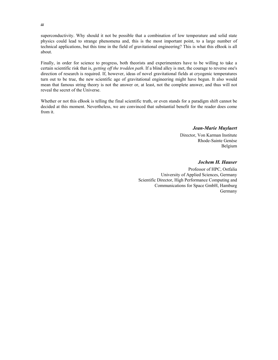superconductivity. Why should it not be possible that a combination of low temperature and solid state physics could lead to strange phenomena and, this is the most important point, to a large number of technical applications, but this time in the field of gravitational engineering? This is what this eBook is all about.

Finally, in order for science to progress, both theorists and experimenters have to be willing to take a certain scientific risk that is, *getting off the trodden path*. If a blind alley is met, the courage to reverse one's direction of research is required. If, however, ideas of novel gravitational fields at cryogenic temperatures turn out to be true, the new scientific age of gravitational engineering might have begun. It also would mean that famous string theory is not the answer or, at least, not the complete answer, and thus will not reveal the secret of the Universe.

Whether or not this eBook is telling the final scientific truth, or even stands for a paradigm shift cannot be decided at this moment. Nevertheless, we are convinced that substantial benefit for the reader does come from it.

*Jean-Marie Muylaert* 

Director, Von Karman Institute Rhode-Sainte Genèse Belgium

*Jochem H. Hauser* 

Professor of HPC, Ostfalia University of Applied Sciences, Germany Scientific Director, High Performance Computing and Communications for Space GmbH, Hamburg Germany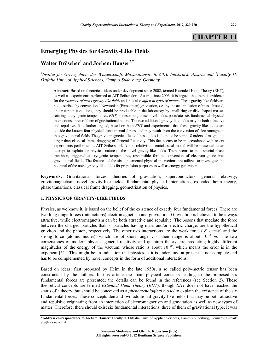# **CHAPTER 11**

## **Emerging Physics for Gravity-Like Fields**

### **Walter Dröscher1 and Jochem Hauser2,\***

<sup>1</sup>Institut für Grenzgebiete der Wissenschaft, Maximilianstr. 8, 6010 Innsbruck, Austria and <sup>2</sup>Faculty H, *Ostfalia Univ. of Applied Sciences, Campus Suderburg, Germany* 

**Abstract:** Based on theoretical ideas under development since 2002, termed Extended Heim Theory (EHT), as well as experiments performed at AIT Seibersdorf, Austria since 2006, it is argued that there is evidence for the *existence of novel gravity-like fields* and thus also *different types of matter*. These gravity-like fields are not described by conventional Newtonian (Einsteinian) gravitation, *i.e.*, by the accumulation of mass. Instead, under certain conditions, they should be producible in the laboratory by small ring or disk shaped masses rotating at cryogenic temperatures. *EHT*, in describing these novel fields, postulates six fundamental physical interactions, three of them of gravitational nature. The two additional gravity-like fields may be both attractive and repulsive. It is further argued, based on both *EHT* and experiments, that these gravity-like fields are outside the known four physical fundamental forces, and may result from the conversion of electromagnetic into gravitational fields. The gravitomagnetic effect of these fields is found to be some 18 orders of magnitude larger than classical frame dragging of General Relativity. This fact seems to be in accordance with recent experiments performed at AIT Seibersdorf. A non relativistic semiclassical model will be presented as an attempt to explain the physical nature of the novel gravity-like fields. There seems to be a special phase transition, triggered at cryogenic temperatures, responsible for the conversion of electromagnetic into gravitational fields. The features of the six fundamental physical interactions are utilized to investigate the potential of the novel gravity-like fields for propulsion purposes as well as energy generation.

**Keywords:** Gravitational forces, theories of gravitation, superconductors, general relativity, gravitomagnetism, novel gravity-like fields, fundamental physical interactions, extended heim theory, phase transitions, classical frame dragging, geometrization of physics.

#### **1. PHYSICS OF GRAVITY-LIKE FIELDS**

Physics, as we know it, is based on the belief of the existence of exactly four fundamental forces. There are two long range forces (interactions) electromagnetism and gravitation. Gravitation is believed to be always attractive, while electromagnetism can be both attractive and repulsive. The bosons that mediate the force between the charged particles that is, particles having mass and/or electric charge, are the hypothetical graviton and the photon, respectively. The other two interactions are the weak force ( $\beta$  decay) and the strong force (atomic nuclei), which are of short range, *i.e.*, their range is about  $10^{-15}$  *m*. The two cornerstones of modern physics, general relativity and quantum theory, are predicting highly different magnitudes of the energy of the vacuum, whose ratio is about  $10^{120}$ , which means the error is in the exponent [51]. This might be an indication that physics as it is understood at present is not complete and has to be complemented by novel concepts in the form of additional interactions.

Based on ideas, first proposed by Heim in the late 1950s, a so called poly-metric tensor has been constructed by the authors. In this article the main physical concepts leading to the proposed six fundamental forces are presented; the details can be found in the references (see Section 2). These theoretical concepts are termed *Extended Heim Theory* (*EHT*), though *EHT* does not have reached the status of a theory, but should be conceived as a *phenomenological model* to explain the existence of the six fundamental forces. These concepts demand two additional gravity-like fields that may be both attractive and repulsive originating from an interaction of electromagnetism and gravitation as well as new types of matter. Therefore, there should exist six fundamental interactions, three of them of gravitational type. It was

**<sup>\*</sup>Address correspondence to Jochem Hauser:** Faculty H, Ostfalia Univ. of Applied Sciences, Campus Suderburg, Germany; E-mail: jh@hpcc-space.de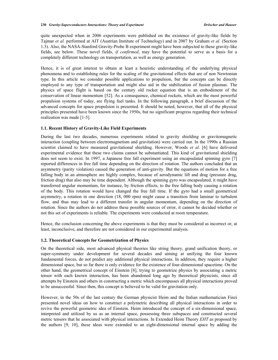quite unexpected when in 2006 experiments were published on the existence of gravity-like fields by Tajmar *et al.* performed at AIT (Austrian Institute of Technology) and in 2007 by Graham *et al.* (Section 1.3). Also, the NASA-Stanford Gravity-Probe B experiment might have been subjected to these gravity-like fields, see below. These novel fields, *if confirmed*, may have the potential to serve as a basis for a completely different technology on transportation, as well as energy generation.

Hence, it is of great interest to obtain at least a heuristic understanding of the underlying physical phenomena and to establishing rules for the scaling of the gravitational effects that are of non Newtonian type. In this article we consider possible applications to propulsion, but the concepts can be directly employed to any type of transportation and might also aid in the stabilization of fusion plasmas. The physics of space flight is based on the century old rocket equation that is an embodiment of the conservation of linear momentum [52]. As a consequence, chemical rockets, which are the most powerful propulsion systems of today, are flying fuel tanks. In the following paragraph, a brief discussion of the advanced concepts for space propulsion is presented. It should be noted, however, that all of the physical principles presented have been known since the 1950s, but no significant progress regarding their technical realization was made [1-5].

#### **1.1. Recent History of Gravity-Like Field Experiments**

During the last two decades, numerous experiments related to gravity shielding or gravitomagnetic interaction (coupling between electromagnetism and gravitation) were carried out. In the 1990s a Russian scientist claimed to have measured gravitational shielding. However, Woods *et al.* [6] have delivered experimental evidence that these two claims cannot be substantiated. This kind of gravitational shielding does not seem to exist. In 1997, a Japanese free fall experiment using an encapsulated spinning gyro [7] reported differences in free fall time depending on the direction of rotation. The authors concluded that an asymmetry (parity violation) caused the generation of anti-gravity. But the equations of motion for a free falling body in an atmosphere are highly complex, because of aerodynamic lift and drag (pressure drag, friction drag) that also may be time dependent. Although the spinning gyro was encapsulated, it might have transferred angular momentum, for instance, by friction effects, to the free falling body causing a rotation of the body. This rotation would have changed the free fall time. If the gyro had a small geometrical asymmetry, a rotation in one direction (18, 000 rpm) might cause a transition from laminar to turbulent flow, and thus may lead to a different transfer in angular momentum, depending on the direction of rotation. Since the authors do not address these possible sources of error, it cannot be decided whether or not this set of experiments is reliable. The experiments were conducted at room temperature.

Hence, the conclusion concerning the above experiments is that they must be considered as incorrect or, at least, inconclusive, and therefore are not considered in our experimental analysis.

#### **1.2. Theoretical Concepts for Geometrization of Physics**

On the theoretical side, most advanced physical theories like string theory, grand unification theory, or super-symmetry under development for several decades and aiming at unifying the four known fundamental forces, do not predict any additional physical interactions. In addition, they require a higher dimensional space, but so far there is only evidence for the existence of four-dimensional spacetime. On the other hand, the geometrical concept of Einstein [8], trying to geometrize physics by associating a metric tensor with each known interaction, has been abandoned long ago by theoretical physicists, since all attempts by Einstein and others in constructing a metric which encompasses all physical interactions proved to be unsuccessful. Since then, this concept is believed to be valid for gravitation only.

However, in the 50s of the last century the German physicist Heim and the Italian mathematician Finzi presented novel ideas on how to construct a polymetric describing all physical interactions in order to revive the powerful geometric idea of Einstein. Heim introduced the concept of a six-dimensional space, interpreted and utilized by us as an internal space, possessing three subspaces and constructed several metric tensors that he associated with physical interactions. In Extended Heim Theory *EHT* as proposed by the authors [9, 10], these ideas were extended to an eight-dimensional internal space by adding the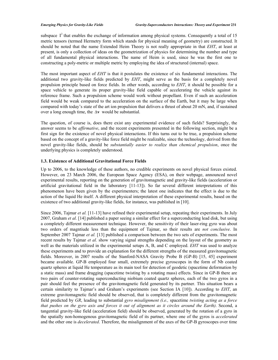subspace  $I^2$  that enables the exchange of information among physical systems. Consequently a total of 15 metric tensors (termed Hermetry form which stands for physical meaning of geometry) are constructed. It should be noted that the name Extended Heim Theory is not really appropriate in that *EHT*, at least at present, is only a collection of ideas on the geometrization of physics for determining the number and type of all fundamental physical interactions. The name of Heim is used, since he was the first one to constructing a poly-metric or multiple metric by employing the idea of structured (internal) space.

The most important aspect of *EHT* is that it postulates the existence of six fundamental interactions. The additional two gravity-like fields predicted by *EHT*, might serve as the basis for a completely novel propulsion principle based on force fields. In other words, according to *EHT*, it should be possible for a space vehicle to generate its proper gravity-like field capable of accelerating the vehicle against its reference frame. Such a propulsion scheme would work without propellant. Even if such an acceleration field would be weak compared to the acceleration on the surface of the Earth, but it may be large when compared with today's state of the art ion propulsion that delivers a thrust of about 20 mN, and, if sustained over a long enough time, the  $\Delta v$  would be substantial.

The question, of course is, does there exist any experimental evidence of such fields? Surprisingly, the answer seems to be *affirmative*, and the recent experiments presented in the following section, might be a first sign for the existence of novel physical interactions. If this turns out to be true, a propulsion scheme based on the concept of a gravity-like force field might be realizable, since the technology, derived from the novel gravity-like fields, should be *substantially easier to realize than chemical propulsion*, once the underlying physics is completely understood.

#### **1.3. Existence of Additional Gravitational Force Fields**

Up to 2006, to the knowledge of these authors, no credible experiments on novel physical forces existed. However, on 23 March 2006, the European Space Agency (ESA), on their webpage, announced novel experimental results, reporting on the generation of gravitomagnetic and gravity-like fields (acceleration or artificial gravitational field in the laboratory [11-13]). So far several different interpretations of this phenomenon have been given by the experimenters; the latest one indicates that the effect is due to the action of the liquid He itself. A different physical interpretation of these experimental results, based on the existence of two additional gravity-like fields, for instance, was published in [10].

Since 2006, Tajmar *et al.* [11-13] have refined their experimental setup, repeating their experiments. In July 2007, Graham *et al.* [14] published a paper seeing a similar effect for a superconducting lead disk, but using a completely different measurement technique. However, the sensitivity of their laser-ring gyro was about two orders of magntiude less than the equipment of Tajmar, so their results are *not conclusive*. In September 2007 Tajmar *et al.* [13] published a comparison between the two sets of experiments. The most recent results by Tajmar *et al.* show varying signal strengths depending on the layout of the geometry as well as the materials utilized in the experimental setups A, B, and C employed. *EHT* was used to analyze these experiments and to provide an explanation for the different strengths of the measured gravitomagnetic fields. Moreover, in 2007 results of the Stanford-NASA Gravity Probe B (GP-B) [15, 45] experiment became available. GP-B employed four small, extremely precise gyroscopes in the form of Nb coated quartz spheres at liquid He temperature as its main tool for detection of geodetic (spacetime deformation by a static mass) and frame dragging (spacetime twisting by a rotating mass) effects. Since in GP-B there are two pairs of counter-rotating superconducting niobium coated quartz spheres, each of the two gyros in a pair should feel the presence of the gravitomagnetic field generated by its partner. This situation bears a certain similarity to Tajmar's and Graham's experiments (see Section IA [10]). According to *EHT*, an extreme gravitomagnetic field should be observed, that is completely different from the gravitomagnetic field predicted by *GR*, leading to substantial *gyro misalignment (i.e.,* spacetime *twisting acting as a force that pushes on the gyro axis and forces it out of alignment as it circles around the Earth)*. Second, a tangential gravity-like field (acceleration field) should be observed, generated by the rotation of a gyro in the spatially non-homogenous gravitomagnetic field of its partner, where one of the gyros is *accelerated* and the other one is *decelerated*. Therefore, the misalignment of the axes of the GP-B gyroscopes over time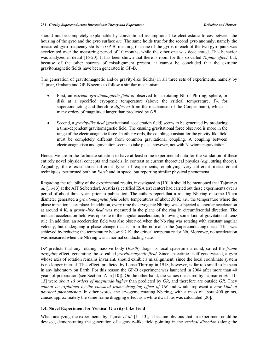should not be completely explainable by conventional assumptions like electrostatic forces between the housing of the gyro and the gyro surface *etc.* The same holds true for the second gyro anomaly, namely the measured gyro frequency shifts in GP-B, meaning that one of the gyros in each of the two gyro pairs was accelerated over the measuring period of 10 months, while the other one was decelerated. This behavior was analyzed in detail [16-20]. It has been shown that there is room for this so called *Tajmar effect*, but, because of the other sources of misalignment present, it cannot be concluded that the extreme gravitomagnetic fields have been generated in GP-B.

The generation of gravitomagnetic and/or gravity-like field(s) in all three sets of experiments, namely by Tajmar, Graham and GP-B seems to follow a similar mechanism.

- First, an *extreme gravitomagnetic field* is observed for a rotating Nb or Pb ring, sphere, or disk at a specified cryogenic temperature (above the critical temperature,  $T_c$ , for superconducting and therefore *different* from the mechanism of the Cooper pairs), which is many orders of magnitude larger than predicted by *GR*.
- Second, a *gravity-like field* (gravitational acceleration field) seems to be generated by producing a time-dependent gravitomagnetic field. The ensuing gravitational force observed is more in the range of the electromagnetic force. In other words, the coupling constant for the gravity-like field must be completely different from common gravitational coupling. A coupling between electromagnetism and gravitation seems to take place, however, not with Newtonian gravitation.

Hence, we are in the fortunate situation to have at least some experimental data for the validation of these entirely novel physical concepts and models, in contrast to current theoretical physics (*e.g.*, string theory). Arguably, there exist three different types of experiments, employing very different measurement techniques, performed both on *Earth* and in space, but reporting similar physical phenomena.

Regarding the reliability of the experimental results, investigated in [10], it should be mentioned that Tajmar *et al.* [11-13] at the AIT Seibersdorf, Austria (a certified ESA test center) had carried out these experiments over a period of about three years prior to publication. The authors report that a rotating Nb ring of some 15 cm diameter generated a *gravitomagnetic field* below temperatures of about 30 K, *i.e.,* the temperature where the phase transition takes place. In addition, every time the cryogenic Nb ring was subjected to angular acceleration at around 4 K, a *gravity-like field* was measured in the plane of the ring in circumferential direction. The induced acceleration field was opposite to the angular acceleration, following some kind of gravitational Lenz rule. In addition, an acceleration field was also observed when the Nb ring was rotating with constant angular velocity, but undergoing a phase change that is, from the normal to the (superconducting) state. This was achieved by reducing the temperature below 9.2 K, the critical temperature for Nb. Moreover, no acceleration was measured when the Nb ring was in normal conducting state.

*GR* predicts that any rotating massive body (*Earth*) drags its local spacetime around, called the *frame dragging* effect, generating the so-called *gravitomagnetic field*. Since spacetime itself gets twisted, a gyro whose axis of rotation remains invariant, should exhibit a misalignment, since the local coordinate system is no longer inertial. This effect, predicted by Lense-Thirring in 1918, however, is far too small to be seen in any laboratory on Earth. For this reason the GP-B experiment was launched in 2004 after more than 40 years of preparation (see Section IA in [10]). On the other hand, the values measured by Tajmar *et al.* [11- 13] were *about 18 orders of magnitude higher* than predicted by *GR*, and therefore are outside *GR*. They *cannot be explained by the classical frame dragging effect of GR* and would represent a *new kind of physical phenomenon*. In other words, the cryogenic rotating Nb ring, with a mass of about 400 grams, causes approximately the same frame dragging effect as a white dwarf, as was calculated [20].

#### **1.4. Novel Experiment for Vertical Gravity-Like Field**

When analyzing the experiments by Tajmar *et al.* [11-13], it became obvious that an experiment could be devised, demonstrating the generation of a gravity-like field pointing in the *vertical direction* (along the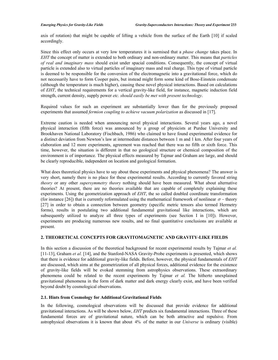axis of rotation) that might be capable of lifting a vehicle from the surface of the Earth [10] if scaled accordingly.

Since this effect only occurs at very low temperatures it is surmised that a *phase change* takes place. In *EHT* the concept of matter is extended to both ordinary and non-ordinary matter. This means that *particles of real and imaginary mass* should exist under spacial conditions. Consequently, the concept of virtual particle is extended also to virtual particles of imaginary mass and real charge. This type of virtual particle is deemed to be responsible for the conversion of the electromagnetic into a gravitational force, which do not necessarily have to form Cooper pairs, but instead might form some kind of Bose-Einstein condensate (although the temperature is much higher), causing these novel physical interactions. Based on calculations of *EHT*, the technical requirements for a vertical gravity-like field, for instance, magnetic induction field strength, current density, supply power *etc. should easily be met with present technology*.

Required values for such an experiment are substantially lower than for the previously proposed experiments that assumed *fermion coupling to achieve vacuum polarization* as discussed in [17].

Extreme caution is needed when announcing novel physical interactions. Several years ago, a novel physical interaction (fifth force) was announced by a group of physicists at Purdue University and Brookhaven National Laboratory (Fischbach, 1986) who claimed to have found experimental evidence for a distinct deviation from Newton's law at intermediate distances between 1 m and 1 km. After four years of elaboration and 12 more experiments, agreement was reached that there was no fifth or sixth force. This time, however, the situation is different in that no geological structure or chemical composition of the environment is of importance. The physical effects measured by Tajmar and Graham are large, and should be clearly reproducible, independent on location and geological formation.

What does theoretical physics have to say about these experiments and physical phenomena? The answer is very short, namely there is no place for these experimental results. According to currently favored string *theory* or any other *supersymmetry theory* nothing should have been measured. What about alternative theories? At present, there are no theories available that are capable of completely explaining these experiments. Using the geometrization approach of *EHT*, the so called doubled coordinate transformation (for instance [26]) that is currently reformulated using the mathematical framework of nonlinear  $\sigma$  – theory [27] in order to obtain a connection between geometry (specific metric tensors also termed Hermetry forms), results in postulating two additional fundamental gravitational like interactions, which are subsequently utilized to analyze all three types of experiments (see Section I in [10]). However, experiments are producing numerous new results, and no final quantitative conclusions are available at present.

#### **2. THEORETICAL CONCEPTS FOR GRAVITOMAGNETIC AND GRAVITY-LIKE FIELDS**

In this section a discussion of the theoretical background for recent experimental results by Tajmar *et al.* [11-13], Graham *et al.* [14], and the Stanford-NASA Gravity-Probe experiments is presented, which shows that there is evidence for additional gravity-like fields. Before, however, the physical fundamentals of *EHT* are discussed, which aims at the geometrization of all physical forces, additional evidence for the existence of gravity-like fields will be evoked stemming from astrophysics observations. These extraordinary phenomena could be related to the recent experiments by Tajmar *et al.* The hitherto unexplained gravitational phenomena in the form of dark matter and dark energy clearly exist, and have been verified beyond doubt by cosmological observations.

#### **2.1. Hints from Cosmology for Additional Gravitational Fields**

In the following, cosmological observations will be discussed that provide evidence for additional gravitational interactions. As will be shown below, *EHT* predicts six fundamental interactions. Three of these fundamental forces are of gravitational nature, which can be both attractive and repulsive. From astrophysical observations it is known that about 4% of the matter in our *Universe* is ordinary (visible)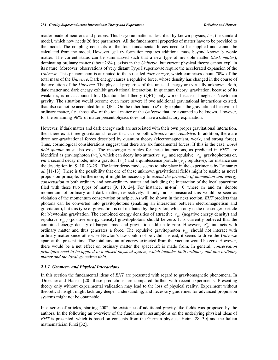matter made of neutrons and protons. This baryonic matter is described by known physics, *i.e.*, the standard model, which now needs 26 free parameters. All the fundamental properties of matter have to be provided to the model. The coupling constants of the four fundamental forces need to be supplied and cannot be calculated from the model. However, galaxy formation requires additional mass beyond known baryonic matter. The current status can be summarized such that a new type of invisible matter (*dark matter*), dominating ordinary matter (about 26% ), exists in the *Universe*, but current physical theory cannot explain its nature. Moreover, observations of very distant Type I supernovae require the accelerated expansion of the *Universe*. This phenomenon is attributed to the so called *dark energy*, which comprises about 70% of the total mass of the *Universe*. Dark energy causes a repulsive force, whose density has changed in the course of the evolution of the *Universe*. The physical properties of this unusual energy are virtually unknown. Both, dark matter and dark energy exhibit gravitational interaction. In quantum theory, gravitation, because of its weakness, is not accounted for. Quantum field theory (QFT) only works because it neglects Newtonian gravity. The situation would become even more severe if two additional gravitational interactions existed, that also cannot be accounted for in QFT. On the other hand, *GR* only explains the gravitational behavior of ordinary matter, *i.e.,* those 4% of the total matter of the *Universe* that are assumed to be known. However, for the remaining 96% of matter present physics does not have a satisfactory explanation.

However, if dark matter and dark energy each are associated with their own proper gravitational interaction, then there exist three gravitational forces that can be both *attractive* and *repulsive*. In addition, there are three non-gravitational forces described by quantum theory (electromagnetism, weak, and strong force). Thus, cosmological considerations suggest that there are six fundamental forces. If this is the case, *novel field quanta* must also exist. The messenger particles for these interactions, as predicted in *EHT*, are identified as gravitophoton ( $v_{gp}^0$ ), which can decay into attractive  $v_{gp}^+$  and repulsive,  $v_{gp}^-$  gravitophotons or, *via* a second decay mode, into a graviton ( $v_g$ ) and a quintessence particle ( $v_g$ , repulsive), for instance see the description in [9, 10, 23-25]. The latter decay mode seems to take place in the experiments by Tajmar *et al.* [11-13]. There is the possibility that one of these unknown gravitational fields might be usable as novel propulsion principle. Furthermore, it might be necessary to *extend the principle of momentum and energy conservation* to both ordinary and non-ordinary matter and including the interaction of the local spacetime filed with these two types of matter [9, 10, 24]. For instance,  $\mathbf{m} + \mathbf{m}' = 0$  where  $\mathbf{m}$  and  $\mathbf{m}'$  denote momentum of ordinary and dark matter, respectively. If only **m** is measured this would be seen as violation of the momentum conservation principle. As will be shown in the next section, *EHT* predicts that photons can be converted into gravitophotons (enabling an interaction between electromagnetism and gravitation), but this type of gravitation is not mediated by the grviton, which only is the messenger particle for Newtonian gravitation. The combined energy densities of attractive  $v_{gp}^+$  (negative energy density) and repulsive  $v_{gp}$ ) (positive energy density) gravitophotons should be zero. It is currently believed that the combined energy density of baryon mass and gravitation add up to zero. However,  $v_{gp}^+$  interacts with ordinary matter and thus generates a force. The repulsive gravitophoton  $v_{gp}^-$  should not interact with ordinary matter since otherwise Newton's law could not be valid; instead, it seems to drive the *Universe* apart at the present time. The total amount of energy extracted from the vacuum would be zero. However, there would be a net effect on ordinary matter the spacecraft is made from. In general, *conservation principles need to be applied to a closed physical system, which includes both ordinary and non-ordinary matter and the local* spacetime *field*.

#### *2.1.1. Geometry and Physical Interactions*

In this section the fundamental ideas of *EHT* are presented with regard to gravitomagnetic phenomena. In Dröscher and Hauser [20] these predictions are compared further with recent experiments. Presenting theory only without experimental validation may lead to the loss of physical reality. Experiment without theoretical insight might lack any deeper understanding, and necessary guidelines for advanced propulsion systems might not be obtainable.

In a series of articles, starting 2002, the existence of additional gravity-like fields was proposed by the authors. In the following an overview of the fundamental assumptions on the underlying physical ideas of *EHT* is presented, which is based on concepts from the German physicist Heim [28, 30] and the Italian mathematician Finzi [32].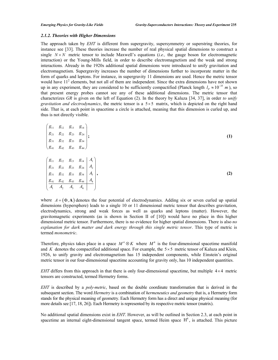#### *2.1.2. Theories with Higher Dimensions*

The approach taken by *EHT* is different from supergravity, supersymmetry or superstring theories, for instance see [33]. These theories increase the number of real physical spatial dimensions to construct a single  $N \times N$  metric tensor to include Maxwell's equations (*i.e.*, the gauge boson for electromagnetic interaction) or the Young-Mills field, in order to describe electromagnetism and the weak and strong interactions. Already in the 1920s additional spatial dimensions were introduced to unify gravitation and electromagnetism. Supergravity increases the number of dimensions further to incorporate matter in the form of quarks and leptons. For instance, in supergravity 11 dimensions are used. Hence the metric tensor would have  $11<sup>2</sup>$  elements, but not all of them are independent. Since the extra dimensions have not shown up in any experiment, they are considered to be sufficiently compactified (Planck length  $l_p \approx 10^{-35}$  *m*), so that present energy probes cannot see any of these additional dimensions. The metric tensor that characterizes *GR* is given on the left of Equation (2). In the theory by Kaluza [34, 37], in order *to unify gravitation and electrodynamics*, the metric tensor is a  $5 \times 5$  matrix, which is depicted on the right hand side. That is, at each point in spacetime a circle is attached, meaning that this dimension is curled up, and thus is not directly visible.

| $\begin{pmatrix} g_{11} & g_{12} & g_{13} & g_{14} \end{pmatrix}$                                                                              |  |  |
|------------------------------------------------------------------------------------------------------------------------------------------------|--|--|
| $\begin{vmatrix} g_{21} & g_{22} & g_{23} & g_{24} \end{vmatrix}$ .                                                                            |  |  |
| $ g_{31} \quad g_{32} \quad g_{33} \quad g_{34} $                                                                                              |  |  |
| $(g_{41} \quad g_{42} \quad g_{43} \quad g_{44})$                                                                                              |  |  |
|                                                                                                                                                |  |  |
|                                                                                                                                                |  |  |
| $\begin{pmatrix} g_{11} & g_{12} & g_{13} & g_{14} \ g_{21} & g_{22} & g_{23} & g_{24} \end{pmatrix} \begin{pmatrix} A_1 \\ A_2 \end{pmatrix}$ |  |  |
| $\Big  \begin{array}{cc} g_{31} & g_{32} & g_{33} & g_{34} \end{array} \Big  A_3 \Big ,$                                                       |  |  |
| $\begin{array}{ c c c c c c c c } \hline g_{41} & g_{42} & g_{43} & g_{44} & A_4 \ \hline \end{array}$                                         |  |  |
| $\begin{vmatrix} A_1 & A_2 & A_3 & A_4 \end{vmatrix}$                                                                                          |  |  |

where  $A = (\Phi, A)$  denotes the four potential of electrodynamics. Adding six or seven curled up spatial dimensions (hypersphere) leads to a single 10 or 11 dimensional metric tensor that describes gravitation, electrodynamics, strong and weak forces as well as quarks and leptons (matter). However, the gravitomagnetic experiments (as is shown in Section II of [10]) would have no place in this higher dimensional metric tensor. Furthermore, there is no evidence for higher spatial dimensions. There is also *no explanation for dark matter and dark energy through this single metric tensor*. This type of metric is termed *monometric*.

Therefore, physics takes place in a space  $M^4 \otimes K$  where  $M^4$  is the four-dimensional spacetime manifold and *K* denotes the compactified additional space. For example, the  $5 \times 5$  metric tensor of Kaluza and Klein, 1926, to unify gravity and electromagnetism has 15 independent components, while Einstein's original metric tensor in our four-dimensional spacetime accounting for gravity only, has 10 independent quantities.

*EHT* differs from this approach in that there is only four-dimensional spacetime, but multiple  $4 \times 4$  metric tensors are constructed, termed Hermetry forms.

*EHT* is described by a *poly-metric*, based on the double coordinate transformation that is derived in the subsequent section. The word *Hermetry* is a combination of *hermeneutics and geometry* that is, a Hermetry form stands for the physical meaning of geometry. Each Hermetry form has a direct and unique physical meaning (for more details see [17, 18, 26]). Each Hermetry is represented by its respective metric tensor (matrix).

No additional spatial dimensions exist in *EHT*. However, as will be outlined in Section 2.3, at each point in spacetime an internal eight-dimensional tangent space, termed Heim space  $H<sup>8</sup>$ , is attached. This picture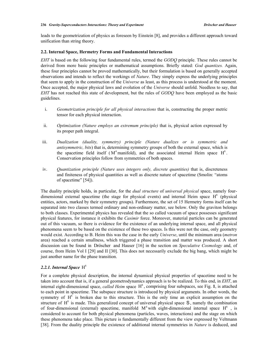leads to the geometrization of physics as foreseen by Einstein [8], and provides a different approach toward unification than string theory.

#### **2.2. Internal Space, Hermetry Forms and Fundamental Interactions**

*EHT* is based on the following four fundamental rules, termed the *GODQ* principle. These rules cannot be derived from more basic principles or mathematical assumptions. Briefly stated: *God quantizes.* Again, these four principles cannot be proved mathematically, but their formulation is based on generally accepted observations and intends to reflect the workings of *Nature*. They simply express the underlying principles that seem to apply in the construction of the *Universe* as least, as this process is understood at the moment. Once accepted, the major physical laws and evolution of the *Universe* should unfold. Needless to say, that *EHT* has not reached this state of development, but the rules of *GODQ* have been employed as the basic guidelines.

- i. *Geometrization principle for all physical interactions* that is, constructing the proper metric tensor for each physical interaction.
- ii. *Optimization (Nature employs an extremum principle)* that is, physical action expressed by its proper path integral.
- iii. *Dualization (duality, symmetry) principle (Nature dualizes or is symmetric and antisymmetric, bits*) that is, determining symmetry groups of both the external space, which is the spacetime field itself  $(M^4 \text{manifold})$ , and the associated internal Heim space  $H^8$ . Conservation principles follow from symmetries of both spaces.
- iv. *Quantization principle (Nature uses integers only, discrete quantities)* that is, discreteness and finiteness of physical quantities as well as discrete nature of spacetime (Smolin: "atoms of spacetime" [54]).

The duality principle holds, in particular, for the *dual structure* of *universal physical* space, namely fourdimensional external spacetime (the stage for physical events) and internal Heim space  $H<sup>8</sup>$  (physical entities, actors, marked by their symmetry groups). Furthermore, the set of 15 Hermetry forms itself can be separated into two classes termed ordinary and non-ordinary matter, see below. Only the graviton belongs to both classes. Experimental physics has revealed that the so called vacuum of space possesses significant physical features, for instance it exhibits the *Casimir* force. Moreover, material particles can be generated out of this vacuum, so there is evidence for the existence of an underlying internal space, and all physical phenomena seem to be based on the existence of these two spaces. Is this were not the case, only geometry would exist. According to B. Heim this was the case in the early *Universe*, until the minimum area (*metron* area) reached a certain smallness, which triggered a phase transition and matter was produced. A short discussion can be found in Dröscher and Hauser [16] in the section on *Speculative Cosmology* and, of course, from Heim Vol I [29] and II [30]. This does not necessarily exclude the big bang, which might be just another name for the phase transition.

#### 2.2.1. Internal Space  $H^8$

For a complete physical description, the internal dynamical physical properties of spacetime need to be taken into account that is, if a general geometrodynamics approach is to be realized. To this end, in *EHT*, an internal eight-dimensional space, *called Heim* space  $H^8$ , comprising four subspaces, see Fig. 1, is attached to each point in spacetime. The subspace structure is introduced by physical arguments. In other words, the symmetry of  $H<sup>8</sup>$  is broken due to this structure. This is the only time an explicit assumption on the structure of  $H<sup>8</sup>$  is made. This generalized concept of universal physical space  $S$ , namely the combination of four-dimensional (external) spacetime, manifold  $M<sup>4</sup>$  with eight-dimensional internal space  $H<sup>8</sup>$ , is considered to account for both physical phenomena (particles, waves, interactions) and the stage on which these phenomena take place. This picture is fundamentally different from the view expressed by Veltmann [38]. From the duality principle the existence of additional internal symmetries in *Nature* is deduced, and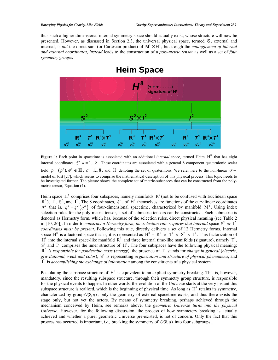thus such a higher dimensional internal symmetry space should actually exist, whose structure will now be presented. However, as discussed in Section 2.3, the universal physical space, termed S, external and internal, is *not* the direct sum (or Cartesian product) of  $M^4 \otimes H^8$ , but trough the *entanglement of internal and external coordinates*, *instead* leads to the construction of a *poly-metric tensor* as well as a set of *four symmetry groups*.



Figure 1: Each point in spacetime is associated with an additional *internal* space, termed Heim H<sup>8</sup> that has eight internal coordinates  $\xi^a$ ,  $a = 1...8$ . These coordinates are associated with a general 8 component quaternionic scalar field  $\varphi = (\varphi^a)$ ,  $\varphi^a \in \mathbb{H}$ ,  $a = 1, ., 8$ , and  $\mathbb{H}$  denoting the set of quaternions. We refer here to the non-linear  $\sigma$ model of Jost [27], which seems to comprise the mathematical description of this physical process. This topic needs to be investigated further. The picture shows the complete set of metric-subspaces that can be constructed from the polymetric tensor, Equation (4).

Heim space  $H^s$  comprises four subspaces, namely manifolds  $R^3$  (not to be confused with Euclidean space  $R^3$ ),  $T^1$ ,  $S^2$ , and  $I^2$ . The 8 coordinates,  $\xi^a$ , of  $H^s$  themselves are functions of the curvilinear c  $\eta^{\mu}$  that is,  $\xi^{a} = \xi^{a}(\eta^{\mu})$  of four-dimensional spacetime, characterized by manifold M<sup>4</sup>. Using index selection rules for the poly-metric tensor, a set of submetric tensors can be constructed. Each submetric is denoted as Hermetry form, which has, because of the selection rules, direct physical meaning (see Table **2** in [10, 26]). In order to *construct a Hermetry form, the selection rule requires that internal space*  $S^2$  *or*  $I^2$ *coordinates must be present*. Following this rule, directly delivers a set of 12 Hermetry forms. Internal space  $H^8$  is a factored space that is, it is represented as  $H^8 = R^3 \times T^1 \times S^2 \times I^2$ . This factorization of  $H^8$  into the internal space-like manifold  $R^3$  and three internal time-like manifolds (signature), namely  $T^1$ ,  $S^2$  and  $I^2$  comprises the inner structure of  $H^8$ . The four subspaces have the following physical meaning:<br> $R^3$  is responsible for ponderable mass (energy), the presence of  $T^1$  stands for charge in general (electr *gravitational, weak and color*),  $S^2$  is representing *organization and structure of physical phenomena*, and  $I^2$  is *accomplishing the exchange of information* among the constituents of a physical system.

Postulating the subspace structure of  $H<sup>8</sup>$  is equivalent to an explicit symmetry breaking. This is, however, mandatory, since the resulting subspace structure, through their symmetry group structure, is responsible for the physical events to happen. In other words, the evolution of the *Universe* starts at the very instant this subspace structure is realized, which is the beginning of physical time. As long as  $H<sup>8</sup>$  retains its symmetry, characterized by group  $O(8, q)$ , only the geometry of external spacetime exists, and thus there exists the stage only, but not yet the actors. By means of symmetry breaking, perhaps achieved through the mechanism conceived by Heim, see remarks above, the *geometric Universe turns into the physical Universe*. However, for the following discussion, the process of how symmetery breaking is actually achieved and whether a purel geometric Universe pre-existed, is not of concern. Only the fact that this process has occurred is important, *i.e.*, breaking the symmetry of  $O(8, q)$  into four subgroups.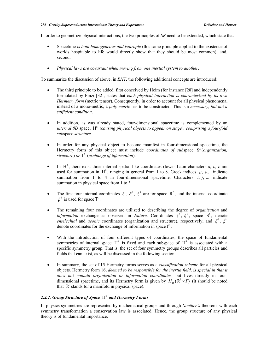In order to geometrize physical interactions, the two principles of *SR* need to be extended, which state that

- x Spacetime *is both homogeneous and isotropic* (this same principle applied to the existence of worlds hospitable to life would directly show that they should be most common), and, second,
- x *Physical laws are covariant when moving from one inertial system to another*.

To summarize the discussion of above, in *EHT*, the following additional concepts are introduced:

- The third principle to be added, first conceived by Heim (for instance [28] and independently formulated by Finzi [32], states that *each physical interaction is characterized by its own Hermetry form* (metric tensor). Consequently, in order to account for all physical phenomena, instead of a mono-metric, a *poly-metric* has to be constructed. This is a *necessary, but not a sufficient condition*.
- In addition, as was already stated, four-dimensional spacetime is complemented by an *internal 8D* space,  $H^8$  (*causing physical objects to appear on stage*), *comprising a four-fold sub*space *structure*.
- In order for any physical object to become manifest in four-dimensional spacetime, the Hermetry form of this object must include *coordinates of subspace* S<sup>2</sup> (*organization*, *structure*) *or*  $I^2$  (*exchange of information*).
- In  $H^8$ , there exist three internal spatial-like coordinates (lower Latin characters  $a, b, c$  are used for summation in  $H^8$ , ranging in general from 1 to 8. Greek indices  $\mu$ ,  $\nu$ , ... indicate summation from 1 to 4 in four-dimensional spacetime. Characters  $i, j, ...$  indicate summation in physical space from 1 to 3.
- The first four internal coordinates  $\xi^1$ ,  $\xi^2$ ,  $\xi^3$  are for space R<sup>3</sup>, and the internal coordinate  $\xi^4$  is used for space T<sup>1</sup>.
- x The remaining four coordinates are utilized to describing the degree of *organization* and *information* exchange as observed in *Nature*. Coordinates  $\xi^5$ ,  $\xi^6$ , space S<sup>2</sup>, denote *entelechial* and *aeonic* coordinates (organization and structure), respectively, and  $\xi^7$ ,  $\xi^8$ denote coordinates for the exchange of information in space  $I^2$ .
- With the introduction of four different types of coordinates, the space of fundamental symmetries of internal space  $H^8$  is fixed and each subspace of  $H^8$  is associated with a specific symmetry group. That is, the set of four symmetry groups describes all particles and fields that can exist, as will be discussed in the following section.
- x In summary, the set of 15 Hermetry forms serves as a *classification scheme* for all physical objects. Hermetry form 16, *deemed to be responsible for the inertia field, is special in that it does not contain organization or information coordinates*, but lives directly in fourdimensional spacetime, and its Hermetry form is given by  $H_{16}(\mathbb{R}^3 \times T)$  (it should be noted that  $\mathbb{R}^3$  stands for a manifold in physical space).

#### 2.2.2. Group Structure of Space H<sup>8</sup> and Hermetry Forms

In physics symmetries are represented by mathematical groups and through *Noether's* theorem, with each symmetry transformation a conservation law is associated. Hence, the group structure of any physical theory is of fundamental importance.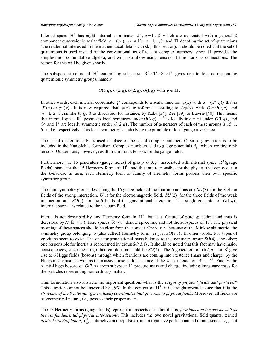#### *Emerging Physics for Gravity-Like Fields Gravity-Superconductors Interactions: Theory and Experiment* **239**

Internal space H<sup>8</sup> has eight internal coordinates  $\xi^a$ ,  $a = 1...8$  which are associated with a general 8 component quaternionic scalar field  $\varphi = (\varphi^a)$ ,  $\varphi^a \in \mathbb{H}$ ,  $a = 1,...,8$ , and  $\mathbb{H}$  denoting the set of quaternions (the reader not interested in the mathematical details can skip this section). It should be noted that the set of quaternions is used instead of the conventional set of real or complex numbers, since  $\mathbb H$  provides the simplest non-commutative algebra, and will also allow using tensors of third rank as connections. The reason for this will be given shortly.

The subspace structure of H<sup>8</sup> comprising subspaces  $R^3 \times T^1 \times S^2 \times I^2$  gives rise to four corresponding quaternionic symmetry groups, namely

$$
O(3,q), O(2,q), O(2,q), O(1,q)
$$
 with  $q \in \mathbb{H}$ .

In other words, each internal coordinate  $\xi^a$  corresponds to a scalar function  $\varphi(x)$  with  $x = (x^{\mu}(\eta))$  that is  $\xi^a(x) \leftrightarrow \varphi^a(x)$ . It is now required that  $\varphi(x)$  transforms according to  $O\varphi(x)$  with  $O \in O(n,q)$  and  $n = 1, 2, 3$ , similar to *QFT* as discussed, for instance, by Kaku [34], Zee [39], or Lawrie [40]. This means that internal space R<sup>3</sup> possesses local symmetry under  $O(3,q)$ , T<sup>1</sup> is locally invariant under  $O(1,q)$ , and S<sup>2</sup> and I<sup>2</sup> are locally symmetric under  $O(2,q)$ . The number of generators of each of these groups is 15, 1, 6, and 6, respectively. This local symmetry is underlying the principle of local gauge invariance.

The set of quaternions  $\mathbb H$  is used in place of the set of complex numbers C, since gravitation is to be included in the Yang-Mills formalism. Complex numbers lead to gauge potentials  $A_{\mu}$ , which are first rank tensors. Quaternions, however, result in third rank tensors for the gauge fields.

Furthermore, the 15 generators (gauge fields) of group  $O(3,q)$  associated with internal space  $\mathbb{R}^3$  (gauge fields), stand for the 15 Hermetry forms of  $H<sup>8</sup>$ , and thus are responsible for the physics that can occur in the *Universe*. In turn, each Hermetry form or family of Hermetry forms possess their own specific symmetry group.

The four symmetry groups describing the 15 gauge fields of the four interactions are *SU*(3) for the 8 gluon fields of the strong interaction, *U*(1) for the electromagnetic field, *SU*(2) for the three fields of the weak interaction, and *SO*(4) for the 6 fields of the gravitational interaction. The single generator of  $O(1, q)$ , internal space  $T^1$  is related to the vacuum field.

Inertia is not described by any Hermetry form in  $H^8$ , but is a feature of pure spacetime and thus is described by  $H(\mathbb{R}^3 \times T)$ . Here spaces  $\mathbb{R}^3 \times T$  denote spacetime and not the subspaces of  $H^8$ . The physical meaning of these spaces should be clear from the context. Obviously, because of the Minkowski metric, the symmetry group belonging to (also called) Hermetry form,  $H_{16}$ , is  $SO(3,1)$ . In other words, two types of gravitons seem to exist. The one for gravitational mass belongs to the symmetry group *SO*(4) , the other; one responsible for inertia is represented by group *SO*(3,1) . It should be noted that this fact may have major consequences, since the no-go theorem does not hold for  $SO(4)$ . The 6 generators of  $O(2,q)$  for  $S^2$  give rise to 6 Higgs fields (bosons) through which fermions are coming into existence (mass and charge) by the Higgs mechanism as well as the massive bosons, for instance of the weak interaction  $W^{\pm}$ ,  $Z^0$ . Finally, the 6 anti-Higgs bosons of  $O(2,q)$  from subspace  $I^2$  procure mass and charge, including imaginary mass for the particles representing non-ordinary matter.

This formulation also answers the important question: what is the *origin of physical fields and particles*? This question cannot be answered by *QFT*. In the context of  $H^8$ , it is straightforward to see that it is the *structure of the 8 internal* (*generalized*) *coordinates that give rise to physical fields*. Moreover, all fields are of geometrical nature, *i.e.,* possess their proper metric.

The 15 Hermetry forms (gauge fields) represent all aspects of matter that is, *fermions and bosons as well as the six fundamental physical interactions*. This includes the two novel gravitational field quanta, termed *neutral gravitophoton*,  $v_{\text{go}}^0$ , (attractive and repulsive), and a repulsive particle named quintessence,  $v_q$ , that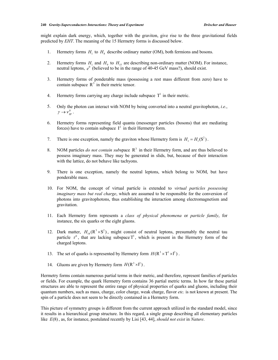might explain dark energy, which, together with the graviton, give rise to the three gravitational fields predicted by *EHT*. The meaning of the 15 Hermetry forms is discussed below.

- 1. Hermetry forms  $H_1$  to  $H_8$  describe ordinary matter (OM), both fermions and bosons.
- 2. Hermetry forms  $H_1$  and  $H_9$  to  $H_{15}$  are describing non-ordinary matter (NOM). For instance, neutral leptons,  $e^0$  (believed to be in the range of 40-45 GeV mass?), should exist.
- 3. Hermetry forms of ponderable mass (possessing a rest mass different from zero) have to contain subspace  $R<sup>3</sup>$  in their metric tensor.
- 4. Hermetry forms carrying any charge include subspace  $T^1$  in their metric.
- 5. Only the photon can interact with NOM by being converted into a neutral gravitophoton, *i.e.*, 0  $\gamma \rightarrow \nu_{\scriptscriptstyle mn}^0$ .
- 6. Hermetry forms representing field quanta (messenger particles (bosons) that are mediating forces) have to contain subspace  $I^2$  in their Hermetry form.
- 7. There is one exception, namely the graviton whose Hermetry form is  $H_1 = H_1(S^2)$ .
- 8. NOM particles *do not contain subspace*  $R<sup>3</sup>$  in their Hermetry form, and are thus believed to possess imaginary mass. They may be generated in slids, but, because of their interaction with the lattice, do not behave like tachyons.
- 9. There is one exception, namely the neutral leptons, which belong to NOM, but have ponderable mass.
- 10. For NOM, the concept of virtual particle is extended to *virtual particles possessing imaginary mass but real charge*, which are assumed to be responsible for the conversion of photons into gravitophotons, thus establishing the interaction among electromagnetism and gravitation.
- 11. Each Hermetry form represents a *class of physical phenomena* or *particle family*, for instance, the six quarks or the eight gluons.
- 12. Dark matter,  $H_{14}(\mathbb{R}^3 \times \mathbb{S}^2)$ , might consist of neutral leptons, presumably the neutral tau particle  $\tau^0$ , that are lacking subspace  $T^1$ , which is present in the Hermetry form of the charged leptons.
- 13. The set of quarks is represented by Hermetry form  $H(R^3 \times T^1 \times I^2)$ .
- 14. Gluons are given by Hermetry form  $H(R^3 \times l^2)$ .

Hermetry forms contain numerous partial terms in their metric, and therefore, represent families of particles or fields. For example, the quark Hermetry form contains 36 partial metric terms. In how far these partial structures are able to represent the entire range of physical properties of quarks and gluons, including their quantum numbers, such as mass, charge, color charge, weak charge, flavor *etc.* is not known at present. The spin of a particle does not seem to be directly contained in a Hermetry form.

This picture of symmetry groups is different from the current approach utilized in the standard model, since it results in a hierarchical group structure. In this regard, a single group describing all elementary particles like *E*(8) , as, for instance, postulated recently by Lisi [43, 44], *should not exist* in *Nature*.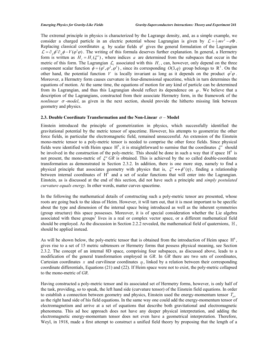The extremal principle in physics is characterized by the Lagrange density, and, as a simple example, we consider a charged particle in an electric potential whose Lagrangian is given by  $\mathcal{L} = \frac{1}{2} m v^2 - e \Phi$ . Replacing classical coordinates  $q_i$  by scalar fields  $\varphi^i$  gives the general formulation of the Lagrangian  $\mathcal{L} = \partial_{\mu} \phi^{\dagger} \partial_{\mu} \phi - V(\phi^{\dagger} \phi)$ . The writing of this formula deserves further explanation. In general, a Hermetry form is written as  $H_t = H_t(\xi^a)$ , where indices *a* are determined from the subspaces that occur in the metric of this form. The Lagrangian  $\mathcal{L}_\ell$  associated with this  $H_\ell$ , can, however, only depend on the three component scalar function  $\phi = (\varphi^1, \varphi^2, \varphi^3)$ , since its corresponding  $O(3, q)$  group belongs to R<sup>3</sup>. On the other hand, the potential function *V* is locally invariant as long as it depends on the product  $\varphi^{\dagger}\varphi$ . Moreover, a Hermetry form causes curvature in four-dimensional spacetime, which in turn determines the equations of motion. At the same time, the equations of motion for any kind of particle can be determined from its Lagrangian, and thus this Lagrangian should reflect its dependence on  $\varphi$ . We believe that a description of the Lagrangians, constructed from their associate Hermetry form, in the framework of the *nonlinear*  $\sigma$  *-model*, as given in the next section, should provide the hitherto missing link between geometry and physics.

#### **2.3. Double Coordinate Transformation and the Non-Linear**  $\sigma$  **– Model**

Einstein introduced the principle of geometrization in physics, which successfully identified the gravitational potential by the metric tensor of spacetime. However, his attempts to geometrize the other force fields, in particular the electromagnetic field, remained unsuccessful. An extension of the Einstein mono-metric tensor to a poly-metric tensor is needed to comprise the other force fields. Since physical fields were identified with Heim space  $H^8$ , it is straightforward to surmise that the coordinates  $\xi^a$  should be involved in the construction of the poly-metric. This should be done in such a way that if space  $H^8$  is not present, the mono-metric of  $\xi^a$  GR is obtained. This is achieved by the so called double-coordinate transformation as demonstrated in Section 2.3.2. In addition, there is one more step, namely to find a physical principle that associates geometry with physics that is,  $\xi^a \leftrightarrow \phi^a(\eta)$ , finding a relationship between internal coordinates of  $H<sup>8</sup>$  and a set of scalar functions that will enter into the Lagrangian. Einstein, as is discussed at the end of this section, did not have such a principle and *simply postulated curvature equals energy*. In other words, matter curves spacetime.

In the following the mathematical details of constructing such a poly-metric tensor are presented, whose roots are going back to the ideas of Heim. However, it will turn out, that it is most important to be specific about the type and dimension of the internal space being introduced as well as the inherent symmetries (group structure) this space possesses. Moreover, it is of special consideration whether the Lie algebra associated with these groups' lives in a real or complex vector space, or a different mathematical field should be employed. As the discussion in Section 2.2.2 revealed, the mathematical field of quaternions,  $\mathbb{H}$ , should be applied instead.

As will be shown below, the poly-metric tensor that is obtained from the introduction of Heim space  $H^8$ , gives rise to a set of 15 metric subtensors or Hermetry forms that possess physical meaning, see Section 2.3.2. The concept of an internal 8D space, comprising four subspaces, as discussed above, leads to a modification of the general transformation employed in *GR*. In *GR* there are two sets of coordinates, Cartesian coordinates x and curvilinear coordinates  $\eta$ , linked by a relation between their corresponding coordinate differentials, Equations (21) and (22). If Heim space were not to exist, the poly-metric collapsed to the mono-metric of *GR*.

Having constructed a poly-metric tensor and its associated set of Hermetry forms, however, is only half of the task, providing, so to speak, the left hand side (curvature tensor) of the Einstein field equations. In order to establish a connection between geometry and physics, Einstein used the energy-momentum tensor  $T_{\mu\nu}$ as the right hand side of his field equations. In the same way one could add the energy-momentum tensor of electromagnetism and arrive at a set of equations that describe both gravitational and electromagnetic phenomena. This ad hoc approach does not have any deeper physical interpretation, and adding the electromagnetic energy-momentum tensor does not even have a geometrical interpretation. Therefore, Weyl, in 1918, made a first attempt to construct a unified field theory by proposing that the length of a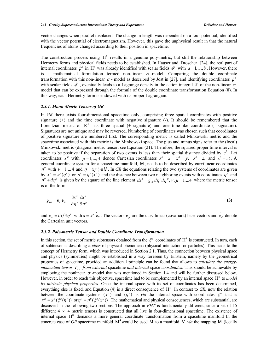vector changes when parallel displaced. The change in length was dependent on a four-potential, identified with the vector potential of electromagnetism. However, this gave the unphysical result in that the natural frequencies of atoms changed according to their position in spacetime.

The construction process using  $H^8$  results in a genuine poly-metric, but still the relationship between Hermetry forms and physical fields needs to be established. In Hauser and Dröscher [24], the real part of internal coordinates  $\xi^a$  in H<sup>8</sup> was already identified with scalar fields  $\phi^a$  with  $a = 1, \dots, 8$ . However, there is a mathematical formulation termed non-linear  $\sigma$ -model. Comparing the double coordinate transformation with this non-linear  $\sigma$  - model as described by Jost in [27], and identifying coordinates  $\xi^a$ with scalar fields  $\phi^a$ , eventually leads to a Lagrange density in the action integral *S* of the non-linear  $\sigma$ model that can be expressed through the formula of the double coordinate transformation Equation (8). In this way, each Hermetry form is endowed with its proper Lagrangian.

#### *2.3.1. Mono-Metric Tensor of GR*

In *GR* there exists four-dimensional spacetime only, comprising three spatial coordinates with positive signature  $(+)$  and the time coordinate with negative signature  $(-)$ . It should be remembered that the Lorentzian metric of  $R<sup>4</sup>$  has three spatial (+ signature) and one time-like coordinate (- signature). Signatures are not unique and may be reversed. Numbering of coordinates was chosen such that coordinates of positive signature are numbered first. The corresponding metric is called Minkowski metric and the spacetime associated with this metric is the Minkowski space. The plus and minus signs refer to the (local) Minkowski metric (diagonal metric tensor, see Equation (21). Therefore, the squared proper time interval is taken to be positive if the separation of two events is less than their spatial distance divided by  $c^2$ . Let coordinates  $x^{\mu}$  with  $\mu = 1,..., 4$  denote Cartesian coordinates  $x^1 = x$ ,  $x^2 = y$ ,  $x^3 = z$ , and  $x^4 = ct$ . A general coordinate system for a spacetime manifold, M , needs to be described by curvilinear coordinates  $\eta^{\nu}$  with  $\nu = 1,..,4$  and  $\eta = (\eta^{\nu}) \in M$ . In *GR* the equations relating the two systems of coordinates are given by  $x^{\mu} = x^{\mu}(\eta^{\nu})$  or  $\eta^{\nu} = \eta^{\nu}(x^{\mu})$  and the distance between two neighboring events with coordinates  $\eta^{\nu}$  and  $\eta^{\nu} + d\eta^{\nu}$  is given by the square of the line element  $ds^2 = g_{\nu\mu} d\eta^{\nu} d\eta^{\mu}$ ,  $\nu, \mu = 1,...4$  where the metric tensor is of the form

$$
g_{\nu\mu} = \mathbf{e}_{\nu} \cdot \mathbf{e}_{\mu} = \frac{\partial x^{\alpha}}{\partial \eta^{\nu}} \frac{\partial x^{\alpha}}{\partial \eta^{\mu}}
$$
 (3)

and  $\mathbf{e}_v = \partial \mathbf{x}/\partial \eta^v$  with  $\mathbf{x} = x^\mu \hat{\mathbf{e}}_\mu$ . The vectors  $\mathbf{e}_u$  are the curvilinear (covariant) base vectors and  $\hat{\mathbf{e}}_\mu$  denote the Cartesian unit vectors.

#### *2.3.2. Poly-metric Tensor and Double Coordinate Transformation*

In this section, the set of metric subtensors obtained from the  $\xi^a$  coordinates of H<sup>8</sup> is constructed. In turn, each of subtensor is describing a *class* of physical phenomena (physical interaction or particles). This leads to the concept of Hermetry form, which was introduced in Section 2.1. Thus, the connection between physical space and physics (symmetries) might be established in a way foreseen by Einstein, namely by the geometrical properties of spacetime, provided an additional principle can be found that allows to *calculate the energymomentum tensor T<sub>uv</sub> from external* spacetime *and internal* space *coordinates*. This should be achievable by employing the nonlinear  $\sigma$  -model that was mentioned in Section 1.4 and will be further discussed below. However, in order to reach this objective, spacetime had to be complemented by an internal space H<sup>8</sup> to *model its intrinsic physical properties*. Once the internal space with its set of coordinates has been determined, everything else is fixed, and Equation (4) is a direct consequence of  $H<sup>8</sup>$ . In contrast to *GR*, now the relation between the coordinate systems  $(x^{\mu})$  and  $(\eta^{\nu})$  is *via* the internal space with coordinates  $\xi^a$  that is  $x^{\mu} = x^{\mu} (\xi^{a} (\eta^{\nu}))$  or  $\eta^{\nu} = \eta^{\nu} (\xi^{a} (x^{\mu}))$ . The mathematical and physical consequences, which are substantial, are discussed in the following two sections. The approach in *EHT* is fundamentally different, since a set of 15 different  $4 \times 4$  metric tensors is constructed that all live in four-dimensional spacetime. The existence of internal space  $H^s$  demands a more general coordinate transformation from a spacetime manifold In the concrete case of GR spacetime manifold  $M^4$  would be used M to a manifold *N via* the mapping M (locally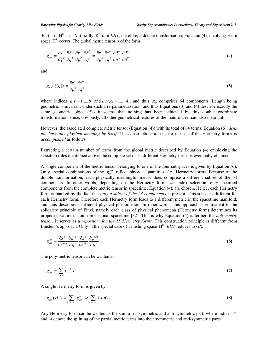$R^4$ )  $\rightarrow$   $H^8$   $\rightarrow$  *N* (locally  $R^4$ ). In *EHT*, therefore, a double transformation, Equation (4), involving Heim space  $H^8$  occurs. The global metric tensor is of the form

$$
g_{\mu\nu} = \frac{\partial x^{\alpha}}{\partial \xi^a} \frac{\partial \xi^a}{\partial \eta^{\mu}} \frac{\partial x^{\alpha}}{\partial \xi^b} \frac{\partial \xi^b}{\partial \eta^{\nu}} = \frac{\partial x^{\alpha}}{\partial \xi^a} \frac{\partial x^{\alpha}}{\partial \xi^b} \frac{\partial \xi^a}{\partial \eta^{\mu}} \frac{\partial \xi^b}{\partial \eta^{\nu}}
$$
(4)

and

$$
g_{ab}(\xi(\eta)) \coloneqq \frac{\partial x^{\alpha}}{\partial \xi^{a}} \frac{\partial x^{\alpha}}{\partial \xi^{b}}
$$
 (5)

where indices  $a, b = 1, ..., 8$  and  $\mu, v, \alpha = 1, ..., 4$ , and thus  $g_{\mu\nu}$  comprises 64 components. Length being geometric is invariant under such a re-parametrization, and thus Equations (3) and (4) describe exactly the same geometric object. So it seems that nothing has been achieved by this double coordinate transformation, since, obviously, all other geometrical features of the manifold remain also invariant.

However, the associated complete metric tensor (Equation (4)) with its total of 64 terms, Equation (6), *does not have any physical meaning by itself*. The construction process for the set of the Hermetry forms is *accomplished* as follows.

Extracting a certain number of terms from the global metric described by Equation (4) employing the selection rules mentioned above, the complete set of 15 different Hermetry forms is eventually obtained.

A single component of the metric tensor belonging to one of the four subspaces is given by Equation (6). Only special combinations of the  $g_{ik}^{\alpha\beta}$  reflect physical quantities, *i.e.*, Hermetry forms. Because of the double transformation, each physically meaningful metric does comprise a different subset of the 64 components. In other words, depending on the Hermetry form, *via* index selection, only specified components from the complete metric tensor in spacetime, Equation (4), are chosen. Hence, each Hermetry form is marked by the fact that *only a subset of the 64 components* is present. This subset is different for each Hermetry form. Therefore each Hermetry form leads to a different metric in the spacetime manifold, and thus describes a different physical phenomenon. In other words, this approach is equivalent to the solidarity principle of Finzi, namely each class of physical phenomena (Hermetry form) determines its proper curvature in four-dimensional spacetime [32]. This is why Equation (4) is termed the *poly-metric tensor*. It serves as a *repository for the 15 Hermetry forms*. This construction principle is different from Einstein's approach. Only in the special case of vanishing space  $H^8$ , *EHT* reduces to *GR*,

$$
g_{\mu\nu}^{ab} = \frac{\partial x^{\alpha}}{\partial \xi^{(a)}} \frac{\partial \xi^{(a)}}{\partial \eta^{\mu}} \frac{\partial x^{\alpha}}{\partial \xi^{(b)}} \frac{\partial \xi^{(b)}}{\partial \eta^{\nu}}.
$$
 (6)

The poly-metric tensor can be written as

$$
g_{\mu\nu} = \sum_{a,b=1}^{8} g_{\mu\nu}^{a,b} \ . \tag{7}
$$

A single Hermetry form is given by

$$
g_{\mu\nu}(H_{\ell}) \coloneqq \sum_{a,b \in H_{\ell}} g_{\mu\nu}^{a,b} =: \sum_{a,b \in H_{\ell}} (a,b). \tag{8}
$$

Any Hermetry form can be written as the sum of its symmetric and anti-symmetric part, where indices *S* and *A* denote the splitting of the partial metric terms into their symmetric and anti-symmetric parts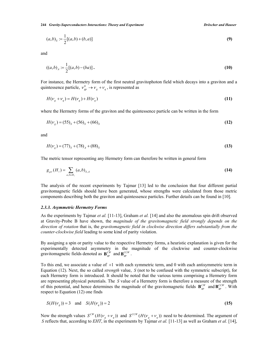$$
(a,b)_s := \frac{1}{2}[(a,b) + (b,a)]
$$
 (9)

and

$$
((a,b)_A := \frac{1}{2}[(a,b)-(ba)].
$$
\n(10)

For instance, the Hermetry form of the first neutral gravitophoton field which decays into a graviton and a quintessence particle,  $v_{gp}^0 \rightarrow v_g + v_g$ , is represented as

$$
H(\nu_g + \nu_q) = H(\nu_g) + H(\nu_q) \tag{11}
$$

where the Hermetry forms of the graviton and the quintessence particle can be written in the form

$$
H(vg) = (55)S + (56)S + (66)S
$$
 (12)

and

$$
H(v_q) = (77)_s + (78)_A + (88)_s \tag{13}
$$

The metric tensor representing any Hermetry form can therefore be written in general form

$$
g_{\mu\nu}(H_{\ell}) = \sum_{a,b \in H_{\ell}} (a,b)_{s,A}
$$
 (14)

The analysis of the recent experiments by Tajmar [13] led to the conclusion that four different partial gravitomagnetic fields should have been generated, whose strengths were calculated from those metric components describing both the graviton and quintessence particles. Further details can be found in [10].

#### *2.3.3. Asymmetric Hermetry Forms*

As the experiments by Tajmar *et al.* [11-13], Graham *et al.* [14] and also the anomalous spin drift observed at Gravity-Probe B have shown, the *magnitude of the gravitomagnetic field strongly depends on the direction of rotation* that is, the *gravitomagnetic field in clockwise direction differs substantially from the counter-clockwise field* leading to some kind of parity violation.

By assigning a spin or parity value to the respective Hermetry forms, a heuristic explanation is given for the experimentally detected asymmetry in the magnitude of the clockwise and counter-clockwise gravitomagnetic fields denoted as  $\mathbf{B}_{gp}^{CW}$  and  $\mathbf{B}_{gp}^{CCW}$ .

To this end, we associate a value of  $+1$  with each symmetric term, and 0 with each antisymmetric term in Equation (12). Next, the so called *strength* value, *S* (not to be confused with the symmetric subscript), for each Hermetry form is introduced. It should be noted that the various terms comprising a Hermetry form are representing physical potentials. The *S* value of a Hermetry form is therefore a measure of the strength of this potential, and hence determines the magnitude of the gravitomagnetic fields  $\mathbf{B}_{gp}^{CW}$  and  $\mathbf{B}_{gp}^{CCW}$ . With respect to Equation (12) one finds

$$
S(H(v_g)) = 3 \quad \text{and} \quad S(H(v_g)) = 2 \tag{15}
$$

Now the strength values  $S^{CW}(H(\nu_g + \nu_q))$  and  $S^{CCW}(H(\nu_g + \nu_q))$  need to be determined. The argument of *S* reflects that, according to *EHT*, in the experiments by Tajmar *et al.* [11-13] as well as Graham *et al.* [14],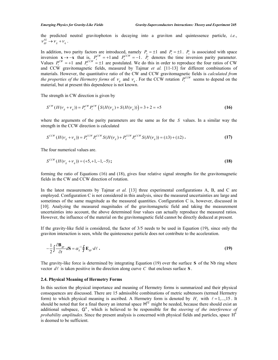the predicted neutral gravitophoton is decaying into a graviton and quintessence particle, *i.e.*,  $v_{\varphi p}^{02} \rightarrow v_{\varphi} + v_{\varphi}$ .

In addition, two parity factors are introduced, namely  $P_x = \pm 1$  and  $P_t = \pm 1$ .  $P_x$  is associated with space inversion  $\mathbf{x} \to -\mathbf{x}$  that is,  $P_x^{CW} = +1$  and  $P_x^{CCW} = -1$ .  $P_t$  denotes the time inversion parity parameter. Values  $P_t^{CFW} = +1$  and  $P_t^{CCFW} = \pm 1$  are postulated. We do this in order to reproduce the four ratios of CW and CCW gravitomagnetic fields, measured by Tajmar *et al.* [11-13] for different combinations of materials. However, the quantitative ratio of the CW and CCW gravitomagnetic fields is *calculated from the properties of the Hermetry forms* of  $V_g$  and  $V_q$ . For the CCW rotation  $P_t^{CCW}$  seems to depend on the material, but at present this dependence is not known.

The strength in CW direction is given by

$$
S^{CW}(H(\nu_g + \nu_q)) = P_x^{CW} P_t^{CW} \left( S(H(\nu_g) + S(H(\nu_q)) \right) = 3 + 2 = +5 \tag{16}
$$

where the arguments of the parity parameters are the same as for the *S* values. In a similar way the strength in the CCW direction is calculated

$$
S^{CCW}(H(\nu_g + \nu_q)) = P_x^{CCW} P_t^{CCW} S(H(\nu_g) + P_x^{CCW} P_t^{CCW} S(H(\nu_q)) = (\pm 3) + (\pm 2).
$$
 (17)

The four numerical values are.

$$
S^{CCW}(H(\nu_g + \nu_q)) = (+5, +1, -1, -5); \tag{18}
$$

forming the ratio of Equations (16) and (18), gives four relative signal strengths for the gravitomagnetic fields in the CW and CCW direction of rotation.

In the latest measurements by Tajmar *et al.* [13] three experimental configurations A, B, and C are employed. Configuration C is not considered in this analysis, since the measured uncertainties are large and sometimes of the same magnitude as the measured quantities. Configuration C is, however, discussed in [10]. Analyzing the measured magnitudes of the gravitomagnetic field and taking the measurement uncertainties into account, the above determined four values can actually reproduce the measured ratios. However, the influence of the material on the gravitomagnetic field cannot be directly deduced at present.

If the gravity-like field is considered, the factor of 3/5 needs to be used in Equation (19), since only the graviton interaction is seen, while the quintessence particle does not contribute to the acceleration.

$$
-\frac{1}{2}\int \frac{\partial \mathbf{B}_{gp}}{\partial t} d\mathbf{S} = \alpha_g^{-1} \oint \mathbf{E}_{gp} d\ell.
$$
 (19)

The gravity-like force is determined by integrating Equation (19) over the surface **S** of the Nb ring where vector  $d\ell$  is taken positive in the direction along curve C that encloses surface S.

#### **2.4. Physical Meaning of Hermetry Forms**

In this section the physical importance and meaning of Hermetry forms is summarized and their physical consequences are discussed. There are 15 admissible combinations of metric subtensors (termed Hermetry form) to which physical meaning is ascribed. A Hermetry form is denoted by  $H_{\ell}$  with  $\ell = 1,...,15$ . It should be noted that for a final theory an internal space  $H^{12}$  might be needed, because there should exist an additional subspace,  $G^4$ , which is believed to be responsible for the *steering of the interference of probability amplitudes*. Since the present analysis is concerned with physical fields and particles, space  $H<sup>8</sup>$ is deemed to be sufficient.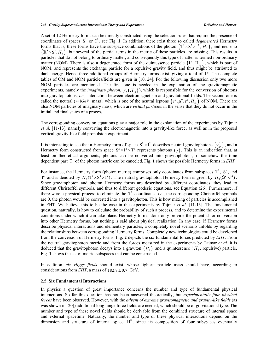A set of 12 Hermetry forms can be directly constructed using the selection rules that require the presence of coordinates of spaces  $S^2$  or  $I^2$ , see Fig. 1. In addition, there exist three so called *degenerated* Hermetry forms that is, these forms have the subspace combinations of the photon  $(T^1 \times S^2 \times I^2, H_2)$ , and neutrino  $(\mathbb{R}^3 \times S^2, H_6)$ , but several of the partial terms in the metric of these particles are missing. This results in particles that do not belong to ordinary matter, and consequently this type of matter is termed non-ordinary matter (NOM). There is also a degenerated form of the quintessence particle  $(1^2, H_{10})$ , which is part of NOM, and represents the exchange particle for a repulsive gravity field, and thus might be attributed to dark energy. Hence three additional groups of Hermetry forms exist, giving a total of 15. The complete tables of OM and NOM particles/fields are given in [10, 24]. For the following discussion only two more NOM particles are mentioned. The first one is needed in the explanation of the gravitomagnetic experiments, namely the *imaginary photon*,  $\gamma$ <sub>*I*</sub> $(H_{11})$ , which is responsible for the conversion of photons into gravitophotons, *i.e.,* interaction between electromagnetism and gravitational fields. The second one is called the neutral ( $\approx 1$ *GeV* mass), which is one of the neutral leptons  $(e^0, \mu^0, \tau^0, H_{15})$  of NOM. There are also NOM particles of imaginary mass, which are *virtual particles* in the sense that they do not occur in the initial and final states of a process.

The corresponding conversion equations play a major role in the explanation of the experiments by Tajmar *et al.* [11-13], namely converting the electromagnetic into a gravity-like force, as well as in the proposed vertical gravity-like field propulsion experiment.

It is interesting to see that a Hermetry form of space  $S^2 \times I^2$  describes neutral gravitophotons  $(\nu_{gp}^0)$ , and a Hermetry form constructed from space  $S^2 \times I^2 \times T^1$  represents photons  $(\gamma)$ . This is an indication that, at least on theoretical arguments, photons can be converted into gravitophotons, if somehow the time dependent part  $T^{\perp}$  of the photon metric can be canceled. Fig. 1 shows the possible Hermetry forms in *EHT*.

For instance, the Hermetry form (photon metric) comprises only coordinates from subspaces  $T^1$ ,  $S^2$ , and  $I^2$  and is denoted by  $H_2(T^1 \times S^2 \times I^2)$ . The neutral gravitophoton Hermetry form is given by  $H_9(S^2 \times I^2)$ . Since gravitophoton and photon Hermetry forms are described by different coordinates, they lead to different Christoffel symbols, and thus to different geodesic equations, see Equation (26). Furthermore, if there were a physical process to eliminate the  $T^1$  coordinates, *i.e.*, the corresponding Christoffel symbols are 0, the photon would be converted into a gravitophoton. This is how mixing of particles is accomplished in EHT. We believe this to be the case in the experiments by Tajmar *et al.* [11-13]. The fundamental question, naturally, is how to calculate the probability of such a process, and to determine the experimental conditions under which it can take place. Hermetry forms alone only provide the potential for conversion into other Hermetry forms, but nothing is said about physical realization. In any case, if Hermetry forms describe physical interactions and elementary particles, a completely novel scenario unfolds by regarding the relationships between corresponding Hermetry forms. Completely new technologies could be developed from the conversion of Hermetry forms. Fig. **2** depicts the six fundamental forces predicted by *EHT*. From the neutral gravitophoton metric and from the forces measured in the experiments by Tajmar *et al.* it is deduced that the gravitophoton decays into a graviton  $(H_1)$  and a quintessence  $(H_2)$ , repulsive) particle. Fig. **1** shows the set of metric-subspaces that can be constructed.

In addition, *six Higgs fields* should exist, whose lightest particle mass should have, according to considerations from *EHT*, a mass of  $182.7 \pm 0.7$  GeV.

#### **2.5. Six Fundamental Interactions**

In physics a question of great importance concerns the number and type of fundamental physical interactions. So far this question has not been answered theoretically, but *experimentally four physical forces* have been observed. However, with the *advent of extreme gravitomagnetic and gravity-like fields* (as was shown in [20]) additional long range force fields are needed, which should be of gravitational type. The number and type of these novel fields should be derivable from the combined structure of internal space and external spacetime. Naturally, the number and type of these physical interactions depend on the dimension and structure of internal space  $H<sup>8</sup>$ , since its composition of four subspaces eventually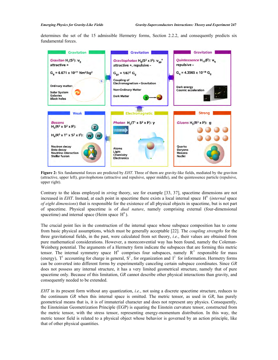determines the set of the 15 admissible Hermetry forms, Section 2.2.2, and consequently predicts six fundamental forces.



**Figure 2:** Six fundamental forces are predicted by *EHT*. Three of them are gravity-like fields, mediated by the graviton (attractive, upper left), gravitophotons (attractive and repulsive, upper middle), and the quintessence particle (repulsive, upper right).

Contrary to the ideas employed in *string* theory, see for example [33, 37], spacetime dimensions are not increased in *EHT*. Instead, at each point in spacetime there exists a local internal space H<sup>8</sup> (*internal* space *of eight dimensions*) that is responsible for the existence of all physical objects in spacetime, but is not part of spacetime. Physical spacetime is of *dual nature*, namely comprising external (four-dimensional spacetime) and internal space (Heim space  $H^8$ ).

The crucial point lies in the construction of the internal space whose subspace composition has to come from basic physical assumptions, which must be generally acceptable [22]. The *coupling strengths* for the three gravitational fields, in the past, were calculated from set theory, *i.e.*, their values are obtained from pure mathematical considerations. However, a moreconvential way has been found, namely the Coleman-Weinberg potential. The arguments of a Hermetry form indicate the subspaces that are forming this metric tensor. The internal symmetry space  $H^8$  comprises four subspaces, namely  $R^3$  responsible for mass (energy),  $T^1$  accounting for charge in general,  $S^2$ , for organization and  $I^2$  for information. Hermetry forms can be converted into different forms by experimentally canceling certain subspace coordinates. Since *GR* does not possess any internal structure, it has a very limited geometrical structure, namely that of pure spacetime only. Because of this limitation, *GR* cannot describe other physical interactions than gravity, and consequently needed to be extended.

*EHT* in its present form without any quantization, *i.e.*, not using a discrete spacetime structure, reduces to the continuum *GR* when this internal space is omitted. The metric tensor, as used in *GR*, has purely geometrical means that is, it is of immaterial character and does not represent any physics. Consequently, the Einsteinian Geometrization Principle (EGP) is equating the Einstein curvature tensor, constructed from the metric tensor, with the stress tensor, representing energy-momentum distribution. In this way, the metric tensor field is related to a physical object whose behavior is governed by an action principle, like that of other physical quantities.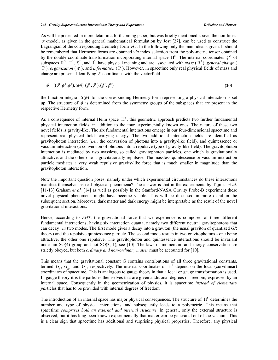As will be presented in more detail in a forthcoming paper, but was briefly mentioned above, the non-linear  $\sigma$ -model, as given in the general mathematical formulation by Jost [27], can be used to construct the Lagrangian of the corresponding Hermetry form  $H<sub>l</sub>$ . In the following only the main idea is given. It should be remembered that Hermetry forms are obtained *via* index selection from the poly-metric tensor obtained by the double coordinate transformation incorporating internal space  $H^8$ . The internal coordinates  $\xi^a$  of subspaces  $R^3$ ,  $T^1$ ,  $S^2$ , and  $I^2$  have physical meaning and are associated with *mass* ( $R^3$ ), *general charge* (  $T^1$ ), *organization* (S<sup>2</sup>), and *information* ( $I^2$ ). However, in spacetime only real physical fields of mass and charge are present. Identifying  $\xi$  coordinates with the vectorfield

$$
\phi = ((\phi^1, \phi^2, \phi^3), (\phi 4), (\phi^5, \phi^6), (\phi^7, \phi^8)
$$
\n(20)

the function integral  $S(\phi)$  for the corresponding Hermetry form representing a physical interaction is set up. The structure of  $\phi$  is determined from the symmetry groups of the subspaces that are present in the respective Hermetry form.

As a consequence of internal Heim space  $H^8$ , this geometric approach predicts two further fundamental physical interaction fields, in addition to the four experimentally known ones. The nature of these two novel fields is gravity-like. The six fundamental interactions emerge in our four-dimensional spacetime and represent real physical fields carrying energy. The two additional interaction fields are identified as gravitophoton interaction (*i.e.*, the conversion of photons into a gravity-like field), and quintessence or vacuum interaction (a conversion of photons into a repulsive type of gravity-like field). The gravitophoton interaction is mediated by two massless, so called gravitophoton particles, one which is gravitationally attractive, and the other one is gravitationally repulsive. The massless quintessence or vacuum interaction particle mediates a very weak repulsive gravity-like force that is much smaller in magnitude than the gravitophoton interaction.

Now the important question poses, namely under which experimental circumstances do these interactions manifest themselves as real physical phenomena? The answer is that in the experiments by Tajmar *et al.* [11-13] Graham *et al.* [14] as well as possibly in the Stanford-NASA Gravity Probe-B experiment these novel physical phenomena might have become visible. This will be discussed in more detail in the subsequent section. Moreover, dark matter and dark energy might be interpretable as the result of the novel gravitational interactions.

Hence, according to *EHT*, the gravitational force that we experience is composed of three different fundamental interactions, having six interaction quanta, namely two different neutral gravitophotons that can decay *via* two modes. The first mode gives a decay into a graviton (the usual graviton of quantized *GR* theory) and the repulsive quintessence particle. The second mode results in two gravitophotons - one being attractive, the other one repulsive. The gravitophoton and quintessence interactions should be invariant under an  $SO(4)$  group and not  $SO(3, 1)$ , see [10]. The laws of momentum and energy conservation are strictly obeyed, but both *ordinary and non-ordinary matter* must be accounted for [10].

This means that the gravitational constant G contains contributions of all three gravitational constants, termed  $G_g$ ,  $G_{gp}$  and  $G_g$ , respectively. The internal coordinates of  $H^8$  depend on the local (curvilinear) coordinates of spacetime. This is analogous to gauge theory in that a local or gauge transformation is used. In gauge theory it is the particles themselves that are given additional degrees of freedom, expressed by an internal space. Consequently in the geometrization of physics, it is spacetime *instead of elementary par*ticles that has to be provided with internal degrees of freedom.

The introduction of an internal space has major physical consequences. The structure of  $H<sup>8</sup>$  determines the number and type of physical interactions, and subsequently leads to a polymetric. This means that spacetime *comprises both an external and internal structure*. In general, only the external structure is observed, but it has long been known experimentally that matter can be generated out of the vacuum. This is a clear sign that spacetime has additional and surprising physical properties. Therefore, any physical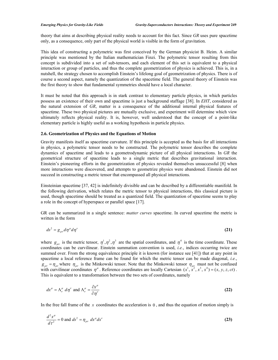theory that aims at describing physical reality needs to account for this fact. Since *GR* uses pure spacetime only, as a consequence, only part of the physical world is visible in the form of gravitation.

This idea of constructing a polymetric was first conceived by the German physicist B. Heim. A similar principle was mentioned by the Italian mathematician Finzi. The polymetric tensor resulting from this concept is subdivided into a set of sub-tensors, and each element of this set is equivalent to a physical interaction or group of particles, and thus the complete geometrization of physics is achieved. This is, in a nutshell, the strategy chosen to accomplish Einstein's lifelong goal of geometrization of physics. There is of course a second aspect, namely the quantization of the spacetime field. The general theory of Einstein was the first theory to show that fundamental symmetries should have a local character.

It must be noted that this approach is in stark contrast to elementary particle physics, in which particles possess an existence of their own and spacetime is just a background staffage [38]. In *EHT*, considered as the natural extension of *GR*, matter is a consequence of the additional internal physical features of spacetime. These two physical pictures are mutually exclusive, and experiment will determine which view ultimately reflects physical reality. It is, however, well understood that the concept of a point-like elementary particle is highly useful as a working hypothesis in particle physics.

#### **2.6. Geometrization of Physics and the Equations of Motion**

Gravity manifests itself as spacetime curvature. If this principle is accepted as the basis for all interactions in physics, a polymetric tensor needs to be constructed. The polymetric tensor describes the complete dynamics of spacetime and leads to a geometrodynamic picture of all physical interactions. In *GR* the geometrical structure of spacetime leads to a single metric that describes gravitational interaction. Einstein's pioneering efforts in the geometrization of physics revealed themselves unsuccessful [8] when more interactions were discovered, and attempts to geometrize physics were abandoned. Einstein did not succeed in constructing a metric tensor that encompassed all physical interactions.

Einsteinian spacetime [37, 42] is indefinitely divisible and can be described by a differentiable manifold. In the following derivation, which relates the metric tensor to physical interactions, this classical picture is used, though spacetime should be treated as a quantized field. The quantization of spacetime seems to play a role in the concept of hyperspace or parallel space [17].

GR can be summarized in a single sentence: *matter curves* spacetime. In curved spacetime the metric is written in the form

$$
ds^2 = g_{\mu\nu} d\eta^{\mu} d\eta^{\nu} \tag{21}
$$

where  $g_{\mu\nu}$  is the metric tensor,  $\eta^1$ ,  $\eta^2$ ,  $\eta^3$  are the spatial coordinates, and  $\eta^4$  is the time coordinate. These coordinates can be curvilinear. Einstein summation convention is used, *i.e.*, indices occurring twice are summed over. From the strong equivalence principle it is known (for instance see [41]) that at any point in spacetime a local reference frame can be found for which the metric tensor can be made diagonal, *i.e.*,  $g_{\mu\nu} = \eta_{\mu\nu}$  where  $\eta_{\mu\nu}$  is the Minkowski tensor. Note that the Minkowski tensor  $\eta_{\mu\nu}$  must not be confused with curvilinear coordinates  $\eta^{\mu}$ . Reference coordinates are locally Cartesian  $(x^1, x^2, x^3, x^4) = (x, y, z, ct)$ . This is equivalent to a transformation between the two sets of coordinates, namely

$$
dx^{\mu} = \Lambda_{\nu}^{\mu} d\eta^{\nu} \text{ and } \Lambda_{\nu}^{\mu} = \frac{\partial x^{\mu}}{\partial \eta^{\nu}}
$$
 (22)

In the free fall frame of the  $x$  coordinates the acceleration is  $0$ , and thus the equation of motion simply is

$$
\frac{d^2x^{\mu}}{d\tau^2} = 0 \text{ and } ds^2 = \eta_{\mu\nu} dx^{\mu} dx^{\nu}
$$
 (23)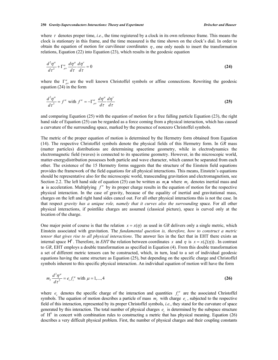where  $\tau$  denotes proper time, *i.e.*, the time registered by a clock in its own reference frame. This means the clock is stationary in this frame, and the time measured is the time shown on the clock's dial. In order to obtain the equation of motion for curvilinear coordinates  $\eta$ , one only needs to insert the transformation relations, Equation (22) into Equation (23), which results in the geodesic equation

$$
\frac{d^2\eta^{\alpha}}{d\tau^2} + \Gamma^{\alpha}_{\mu\nu}\frac{d\eta^{\mu}}{d\tau}\frac{d\eta^{\nu}}{d\tau} = 0
$$
\n(24)

where the  $\Gamma^{\alpha}_{\mu\nu}$  are the well known Christoffel symbols or affine connections. Rewriting the geodesic equation (24) in the form

$$
\frac{d^2\eta^{\alpha}}{d\tau^2} = f^{\alpha} \text{ with } f^{\alpha} = -\Gamma^{\alpha}_{\mu\nu} \frac{d\eta^{\mu}}{d\tau} \frac{d\eta^{\nu}}{d\tau}
$$
\n(25)

and comparing Equation (25) with the equation of motion for a free falling particle Equation (23), the right hand side of Equation (25) can be regarded as a force coming from a physical interaction, which has caused a curvature of the surrounding space, marked by the presence of nonzero Christoffel symbols.

The metric of the proper equation of motion is determined by the Hermetry form obtained from Equation (14). The respective Christoffel symbols denote the physical fields of this Hermetry form. In *GR* mass (matter particles) distributions are determining spacetime geometry, while in electrodynamics the electromagnetic field (waves) is connected to its spacetime geometry. However, in the microscopic world, matter-energydistribution possesses both particle and wave character, which cannot be separated from each other. The existence of the 15 Hermetry forms suggests that the structure of the Einstein field equations provides the framework of the field equations for all physical interactions. This means, Einstein's equations should be representative also for the microscopic world, transcending gravitation and electromagnetism, see Section 2.2. The left hand side of equation (25) can be written as  $m_i$ **a** where  $m_i$  denotes inertial mass and **a** is acceleration. Multiplying  $f^{\alpha}$  by its proper charge results in the equation of motion for the respective physical interaction. In the case of gravity, because of the equality of inertial and gravitational mass, charges on the left and right hand sides cancel out. For all other physical interactions this is not the case. In that respect *gravity has a unique role, namely that it curves also the surrounding* space. For all other physical interactions, if pointlike charges are assumed (classical picture), space is curved only at the location of the charge.

One major point of course is that the relation  $x = x(\eta)$  as used in GR delivers only a single metric, which Einstein associated with gravitation. The *fundamental question is, therefore, how to construct a metric tensor that gives rise to all physical interactions*. The answer lies in the fact that in EHT there exists an internal space  $H^8$ . Therefore, in *EHT* the relation between coordinates *x* and  $\eta$  is  $x = x(\xi(\eta))$ . In contrast to *GR*, EHT employs a double transformation as specified in Equation (4). From this double transformation a set of different metric tensors can be constructed, which, in turn, lead to a set of individual geodesic equations having the same structure as Equation (25), but depending on the specific charge and Christoffel symbols inherent to this specific physical interaction. An individual equation of motion will have the form

$$
m_1 \frac{d^2 \eta^{\mu}}{d\tau^2} = e_c f_c^{\mu} \text{ with } \mu = 1,...,4
$$
 (26)

where  $e_c$  denotes the specific charge of the interaction and quantities  $f_c^{\mu}$  are the associated Christoffel symbols. The equation of motion describes a particle of mass  $m<sub>I</sub>$  with charge  $e<sub>c</sub>$ , subjected to the respective field of this interaction, represented by its proper Christoffel symbols, *i.e.*, they stand for the curvature of space generated by this interaction. The total number of physical charges *<sup>c</sup> e* is determined by the subspace structure of  $H<sup>8</sup>$  in concert with combination rules to constructing a metric that has physical meaning. Equation (26) describes a very difficult physical problem. First, the number of physical charges and their coupling constants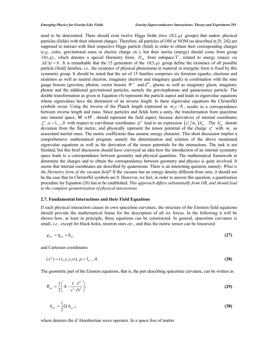need to be determined. There should exist twelve Higgs fields (two  $O(2,q)$  groups) that endow physical particles (fields) with their inherent charges. Therefore, all particles of OM or NOM (as described in [9, 24]) are supposed to interact with their respective Higgs particle (field) in order to obtain their corresponding charges (*e.g.,* color, gravitational mass or electric charge *etc.*), but their inertia (energy) should come from group  $O(1, q)$ , which denotes a special Hermetry form,  $H_{16}$  from subspace T<sup>1</sup>, related to energy (mass) *via*  $\Delta E \Delta t = \hbar$ . It is remarkable that the 15 generators of the  $O(3,q)$  group define the existence of all possible particle (field) families, *i.e.,* the existence of physical phenomena in material or energetic form is fixed by this symmetry group. It should be noted that the set of 15 families comprises six fermions (quarks, electrons and neutrinos as well as neutral electron, imaginary electron and imaginary quark) in combination with the nine gauge bosons (graviton, photon, vector bosons  $W^{\pm}$  and  $Z^0$ , gluons as well as imaginary gluon, imaginary photon and the additional gravitational particles, namely the gravitophotons and quintessence particle. The double transformation as given in Equation (4) represents the particle aspect and leads to eigenvalue equations whose eigenvalues have the dimension of an inverse length. In these eigenvalue equations the Christoffel symbols occur. Using the inverse of the Planck length expressed as  $m_p c / \hbar$ , results in a correspondence between inverse length and mass. Since particles and fields form a unity, the transformation from spacetime into internal space,  $M \rightarrow H^8$ , should represent the field aspect, because derivatives of internal coordinates  $\xi^a$ ,  $a = 1,...,8$  with respect to curvilinear coordinates  $\eta^\mu$  lead to an expression  $(e_c^a/m_t)h_{\mu\nu}^a$ . The  $h_{\mu\nu}^a$  denote deviation from the flat metric, and physically represent the tensor potential of the charge  $e_c^a$  with  $m<sub>I</sub>$  as associated inertial mass. The metric coefficients thus assume energy character. This short discussion implies a comprehensive mathematical program, namely the determination and solution of the above mentioned eigenvalue equations as well as the derivation of the tensor potentials for the interactions. The task is not finished, but this brief discussion should have conveyed an idea how the introduction of an internal symmetry space leads to a correspondence between geometry and physical quantities. The mathematical framework to determine the charges and to obtain the correspondence between geometry and physics is quite involved. It seems that internal coordinates are described by quaternions. There is an interesting question, namely: *What is the Hermetry form of the vacuum field*? If the vacuum has an energy density different from zero, it should not be the case that its Christoffel symbols are 0. However, we feel, in order to answer this question, a quantization procedure for Equation (26) has to be established. *This approach differs substantially from GR, and should lead to the complete geometrization of physical interactions.* 

#### **2.7. Fundamental Interactions and their Field Equations**

If each physical interaction causes its own spacetime curvature, the structure of the Einstein field equations should provide the mathematical frame for the description of all six forces. In the following it will be shown how, at least in principle, these equations can be constructed. In general, spacetime curvature is small, *i.e.,* except for black holes, neutron stars *etc.*, and thus the metric tensor can be linearized

$$
g_{\mu\nu} = \eta_{\mu\nu} + h_{\mu\nu} \tag{27}
$$

and Cartesian coordinates

$$
(x^{\mu}) = (x, y, z, ct), \mu = 1, ..., 4.
$$
 (28)

The geometric part of the Einstein equations, that is, the part describing spacetime curvature, can be written as

$$
R_{\mu\nu} = \frac{1}{2} \left( \Delta - \frac{1}{c^2} \frac{\partial^2}{\partial t^2} \right);
$$
 (29)

$$
h_{\mu\nu} = \frac{1}{2} \Omega h_{\mu\nu} , \qquad (30)
$$

where denotes the d'Alembertian wave operator. In a space free of matter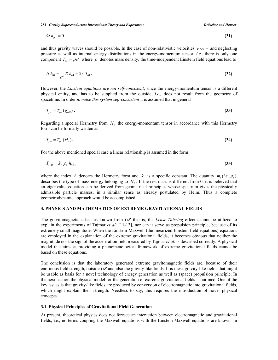$$
\Omega h_{\mu\nu} = 0 \tag{31}
$$

and thus gravity waves should be possible. In the case of non-relativistic velocities  $v \ll c$  and neglecting pressure as well as internal energy distributions in the energy-momentum tensor, *i.e.,* there is only one component  $T_{44} \approx \rho c^2$  where  $\rho$  denotes mass density, the time-independent Einstein field equations lead to

$$
\Delta h_{44} - \frac{1}{c^2} R h_{44} = 2\kappa T_{44} . \tag{32}
$$

However, the *Einstein equations are not self-consistent*, since the energy-momentum tensor is a different physical entity, and has to be supplied from the outside, *i.e.,* does not result from the geometry of spacetime. In order *to make this system self-consistent* it is assumed that in general

$$
T_{\mu\nu} = T_{\mu\nu}(g_{\alpha\beta})\,. \tag{33}
$$

Regarding a special Hermetry from  $H<sub>l</sub>$  the energy-momentum tensor in accordance with this Hermetry form can be formally written as

$$
T_{\mu\nu} = T_{\mu\nu}(H_{\ell}). \tag{34}
$$

For the above mentioned special case a linear relationship is assumed in the form

$$
T_{\ell,44} = k_{\ell} \; \rho_{\ell} \; h_{\ell,44} \tag{35}
$$

where the index  $\ell$  denotes the Hermetry form and  $k_{\ell}$  is a specific constant. The quantity  $m_{\ell}(i.e., \rho_{\ell})$ describes the type of mass-energy belonging to  $H_{\ell}$ . If the rest mass is different from 0, it is believed that an eigenvalue equation can be derived from geometrical principles whose spectrum gives the physically admissible particle masses, in a similar sense as already postulated by Heim. Thus a complete geometrodynamic approach would be accomplished.

#### **3. PHYSICS AND MATHEMATICS OF EXTREME GRAVITATIONAL FIELDS**

The gravitomagnetic effect as known from *GR* that is, the *Lense-Thirring* effect cannot be utilized to explain the experiments of Tajmar *et al.* [11-13], nor can it serve as propulsion principle, because of its extremely small magnitude. When the Einstein-Maxwell (the linearized Einstein field equations) equations are employed in the explanation of the extreme gravitational fields, it becomes obvious that neither the magnitude nor the sign of the acceleration field measured by Tajmar *et al.* is described correctly. A physical model that aims at providing a phenomenological framework of extreme gravitational fields cannot be based on these equations.

The conclusion is that the laboratory generated extreme gravitomagnetic fields are, because of their enormous field strength, outside *GR* and also the gravity-like fields. It is these gravity-like fields that might be usable as basis for a novel technology of energy generation as well as (space) propulsion principle. In the next section the physical model for the generation of extreme gravitational fields is outlined. One of the key issues is that gravity-like fields are produced by conversion of electromagnetic into gravitational fields, which might explain their strength. Needless to say, this requires the introduction of novel physical concepts.

#### **3.1. Physical Principles of Gravitational Field Generation**

At present, theoretical physics does not foresee an interaction between electromagnetic and gravitational fields, *i.e.*, no terms coupling the Maxwell equations with the Einstein-Maxwell equations are known. In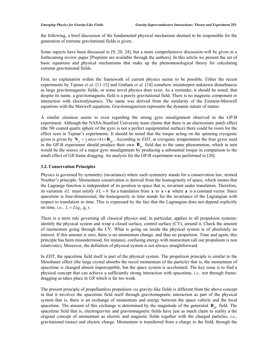the following, a brief discussion of the fundamental physical mechanism deemed to be responsible for the generation of extreme gravitational fields is given.

Some aspects have been discussed in [9, 20, 24], but a more comprehensive discussion will be given in a forthcoming review paper [Preprints are available through the authors]. In this article we present the set of basic equations and physical mechanisms that make up the phenomenological theory for calculating extreme gravitational fields.

First, no explanation within the framework of current physics seems to be possible. Either the recent experiments by Tajmar *et al.* [11-13] and Graham *et al.* [14] somehow misinterpret unknown disturbances as large gravitomagnetic fields, or some novel physics does exist. As a reminder, it should be noted, that despite its name, a gravitomagnetic field is a purely gravitational field. There is no magnetic component or interaction with electrodynamics. The name was derived from the similarity of the Einstein-Maxwell equations with the Maxwell equations. Gravitomagnetism represents the dynamic nature of matter.

A similar situation seems to exist regarding the strong gyro misalignment observed in the GP-B experiment. Although the NASA-Stanford University team claims that there is an electrostatic patch effect (the Nb coated quartz sphere of the gyro is not a perfect equipotential surface) there could be room for the effect seen in Tajmar's experiments. It should be noted that the torque acting on the spinning cryogenic gyros is given by  $N_g = \frac{1}{2}m(\omega \times r) \times B_{gp}$ . According to *EHT*, at cryogenic temperatures the four gyros used in the GP-B experiment should produce their own **B***gp* field due to the same phenomenon, which in turn would be the source of a major gyro misalignment by producing a substantial torque in comparison to the small effect of *GR* frame dragging. An analysis for the GP-B experiment was performed in [20].

#### **3.2. Conservation Principles**

Physics is governed by symmetry (invariance) where each symmetry stands for a conservation law, termed Noether's principle. Momentum conservation is derived from the homogeneity of space, which means that the Lagrange function is independent of its position in space that is, invariant under translation. Therefore, its variation  $\delta L$  must satisfy  $\delta L = 0$  for a translation from **x** to **x** + **a** where **a** is a constant vector. Since spacetime is four-dimensional, the homogeneity in time stands for the invariance of the Lagrangian with respect to translation in time. This is expressed by the fact that the Lagrangian does not depend explicitly on time, *i.e.*,  $L = L(q_k, \dot{q}_k)$ .

There is a stern rule governing all classical physics and, in particular, applies to all propulsion systems: identify the physical system and wrap a closed surface, control surface (CV), around it. Check the amount of momentum going through the CV. What is going on inside the physical system is of absolutely no interest. If this amount is zero, there is no momentum change, and thus no propulsion. Time and again, this principle has been misunderstood, for instance, confusing energy with momentum (all our propulsion is non relativistic). Moreover, the definition of physical system is not always straightforward.

In *EHT*, the spacetime field itself is part of the physical system. The propulsion principle is similar to the Mossbauer effect (the large crystal absorbs the recoil momentum of the particle) that is, the momentum of spacetime is changed almost imperceptible, but the space system is accelerated. The key issue is to find a physical concept that can achieve a sufficiently strong interaction with spacetime, *i.e.,* not through framedragging as takes place in *GR* which is far too weak.

The present principle of propellantless propulsion *via* gravity-like fields is different from the above concept in that it involves the spacetime field itself through gravitomagnetic interaction as part of the physical system that is, there is an exchange of momentum and energy between the space vehicle and the local spacetime. The amount of this exchange is determined by the magnitude of the generated  $\mathbf{B}_{g}$  field. The spacetime field that is, electrogravitic and gravitomagnetic fields have just as much claim to reality a the original concept of momentum as electric and magnetic fields together with the charged particles, *i.e.*, gravitational (mass) and electric charge. Momentum is transferred from a charge to the field, through the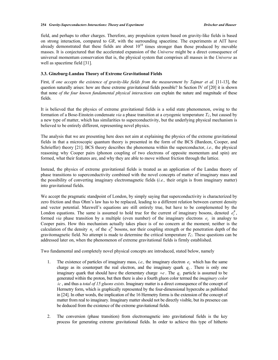field, and perhaps to other charges. Therefore, any propulsion system based on gravity-like fields is based on strong interaction, compared to *GR*, with the surrounding spacetime. The experiments at AIT have already demonstrated that these fields are about  $10^{18}$  times stronger than those produced by movable masses. It is conjectured that the accelerated expansion of the *Universe* might be a direct consequence of universal momentum conservation that is, the physical system that comprises all masses in the *Universe* as well as spacetime field [31].

#### **3.3. Ginzburg-Landau Theory of Extreme Gravitational Fields**

First, if *one accepts the existence of gravity-like fields from the measurement by Tajmar et al.* [11-13], the question naturally arises: how are these extreme gravitational fields possible? In Section IV of [20] it is shown that none *of the four known fundamental physical interactions* can explain the nature and magnitude of these fields.

It is believed that the physics of extreme gravitational fields is a solid state phenomenon, owing to the formation of a Bose-Einstein condensate *via* a phase transition at a cryogenic temperature  $T_c$ , but caused by a new type of matter, which has similarities to superconductivity, but the underlying physical mechanism is believed to be entirely different, representing novel physics.

The analysis that we are presenting here does not aim at explaining the physics of the extreme gravitational fields in that a microscopic quantum theory is presented in the form of the BCS (Bardeen, Cooper, and Schrieffer) theory [21]. BCS theory describes the phenomena within the superconductor, *i.e.,* the physical reasoning why Cooper pairs (phonon coupling of two electrons of opposite momentum and spin) are formed, what their features are, and why they are able to move without friction through the lattice.

Instead, the physics of extreme gravitational fields is treated as an application of the Landau theory of phase transitions to superconductivity combined with the novel concepts of matter of imaginary mass and the possibility of converting imaginary electromagnetic fields (*i.e.,* their origin is from imaginary matter) into gravitational fields.

We accept the pragmatic standpoint of London, by simply saying that superconductivity is characterized by zero friction and thus Ohm's law has to be replaced, leading to a different relation between current density and vector potential. Maxwell's equations are still entirely true, but have to be complemented by the London equations. The same is assumed to hold true for the current of imaginary bosons, denoted  $e_i^B$ , formed *via* phase transition by a multiple (even number) of the imaginary electrons  $e_i$  in analogy to Cooper pairs. How this mechanism actually takes place is of no concern at the moment; neither is the calculation of the density  $n_i$  of the  $e_i^B$  bosons, nor their coupling strength or the penetration depth of the gravitomagnetic field. No attempt is made to determine the critical temperature  $T_C$ . These questions can be addressed later on, when the phenomenon of extreme gravitational fields is firmly established.

Two fundamental and completely novel physical concepts are introduced, stated below, namely

- 1. The existence of particles of imaginary mass, *i.e.*, the imaginary electron  $e_i$ , which has the same charge as its counterpart the real electron, and the imaginary quark  $q_l$ . There is only one imaginary quark that should have the elementary charge  $+e$ . The  $q<sub>i</sub>$  particle is assumed to be generated within the proton, but then there is also a fourth gluon color termed the *imaginary color ic* , and thus a *total of 15 gluons exists*. Imaginary matter is a direct consequence of the concept of Hermetry form, which is graphically represented by the four-dimensional hypercube as published in [24]. In other words, the implication of the 16 Hermetry forms is the extension of the concept of matter from real to imaginary. Imaginary matter should not be directly visible, but its presence can be deduced from the existence of the extreme gravitational fields.
- 2. The conversion (phase transition) from electromagnetic into gravitational fields is the key process for generating extreme gravitational fields. In order to achieve this type of hitherto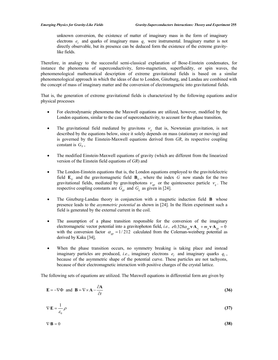unknown conversion, the existence of matter of imaginary mass in the form of imaginary electrons  $e_i$  and quarks of imaginary mass  $q_i$  were instrumental. Imaginary matter is not directly observable, but its presence can be deduced form the existence of the extreme gravitylike fields.

Therefore, in analogy to the successful semi-classical explanation of Bose-Einstein condensates, for instance the phenomena of superconductivity, ferro-magnetism, superfluidity, or spin waves, the phenomenological mathematical description of extreme gravitational fields is based on a similar phenomenological approach in which the ideas of due to London, Ginzburg, and Landau are combined with the concept of mass of imaginary matter and the conversion of electromagnetic into gravitational fields.

That is, the generation of extreme gravitational fields is characterized by the following equations and/or physical processes

- For electrodynamic phenomena the Maxwell equations are utilized, however, modified by the London equations, similar to the case of superconductivity, to account for the phase transition,
- The gravitational field mediated by gravitons  $v<sub>g</sub>$  that is, Newtonian gravitation, is not described by the equations below, since it solely depends on mass (stationary or moving) and is governed by the Einstein-Maxwell equations derived from *GR*, its respective coupling constant is  $G_N$ ,
- x The modified Einstein-Maxwell equations of gravity (which are different from the linearized version of the Einstein field equations of *GR*) and
- x The London-Einstein equations that is, the London equations employed to the gravitolelectric field  $\mathbf{E}_G$  and the gravitomagnetic field  $\mathbf{B}_G$ , where the index *G* now stands for the two gravitational fields, mediated by gravitophotons  $V_{gp}$  or the quintessence particle  $V_q$ . The respective coupling constants are  $G_{gp}$  and  $G_q$  as given in [24].
- x The Ginzburg-Landau theory in conjunction with a magnetic induction field **B** whose presence leads to the *asymmetric potential* as shown in [24]. In the Heim experiment such a field is generated by the external current in the coil.
- The assumption of a phase transition responsible for the conversion of the imaginary electromagnetic vector potential into a gravitophoton field, *i.e.*,  $e^{0.328 \alpha_{gp} \mathbf{v} \cdot \mathbf{A}_{e} + m_p \mathbf{v} \cdot \mathbf{A}_{gp}} = 0$ with the conversion factor  $\alpha_{gp} = 1/212$  calculated from the Coleman-weinberg potential as derived by Kaku [34],
- When the phase transition occurs, no symmetry breaking is taking place and instead imaginary particles are produced, *i.e.*, imaginary electrons  $e_i$  and imaginary quarks  $q_i$ , because of the asymmetric shape of the potential curve. These particles are not tachyons, because of their electromagnetic interaction with positive charges of the crystal lattice.

The following sets of equations are utilized. The Maxwell equations in differential form are given by

$$
\mathbf{E} = -\nabla \Phi \text{ and } \mathbf{B} = \nabla \times \mathbf{A} - \frac{\partial \mathbf{A}}{\partial t}
$$
 (36)

$$
\nabla \cdot \mathbf{E} = \frac{1}{\varepsilon_0} \rho \tag{37}
$$

$$
\nabla \cdot \mathbf{B} = 0 \tag{38}
$$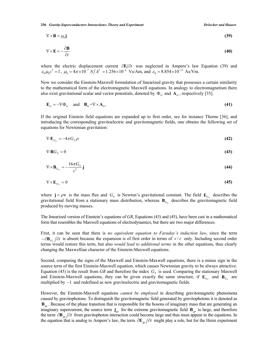**256** *Gravity-Superconductors Interactions: Theory and Experiment Dröscher and Hauser* 

$$
\nabla \times \mathbf{B} = \mu_0 \mathbf{j} \tag{39}
$$

$$
\nabla \times \mathbf{E} = -\frac{\partial \mathbf{B}}{\partial t}
$$
 (40)

where the electric displacement current  $\partial \mathbf{E}/\partial t$  was neglected in Ampere's law Equation (39) and  $\varepsilon_0 \mu_0 c^2 = 1$ ,  $\mu_0 = 4\pi \times 10^{-7} \frac{N}{A^2} = 1.256 \times 10^{-6} \frac{V_s}{Am}$ , and  $\varepsilon_0 = 8.854 \times 10^{-12} \frac{A_s}{V_m}$ .

Now we consider the Einstein-Maxwell formulation of linearized gravity that possesses a certain similarity to the mathematical form of the electromagnetic Maxwell equations. In analogy to electromagnetism there also exist gravitational scalar and vector potentials, denoted by  $\Phi_G$  and  $\mathbf{A}_G$ , respectively [35].

$$
\mathbf{E}_G = -\nabla \Phi_G \quad \text{and} \quad \mathbf{B}_G = \nabla \times \mathbf{A}_G. \tag{41}
$$

If the original Einstein field equations are expanded up to first order, see for instance Thorne [36], and introducing the corresponding gravitoelectric and gravitomagnetic fields, one obtains the following set of equations for Newtonian gravitation:

$$
\nabla \cdot \mathbf{E}_{G_N} = -4\pi G_N \rho \tag{42}
$$

$$
\nabla \cdot \mathbf{B} G_N = 0 \tag{43}
$$

$$
\nabla \times \mathbf{B}_{G_N} = -\frac{16\pi G_N}{c^2} \mathbf{j}
$$
 (44)

$$
\nabla \times \mathbf{E}_{G_N} = 0 \tag{45}
$$

where  $\mathbf{j} = \rho \mathbf{v}$  is the mass flux and  $G_N$  is Newton's gravitational constant. The field  $\mathbf{E}_{G_N}$  describes the gravitational field from a stationary mass distribution, whereas  $\mathbf{B}_{G_0}$  describes the gravitomagnetic field produced by moving masses.

The linearized version of Einstein's equations of *GR*, Equations (43) and (45), have been cast in a mathematical form that resembles the Maxwell equations of electrodynamics, but there are two major differences.

First, it can be seen that there is *no equivalent equation to Faraday's induction law*, since the term  $-\partial \mathbf{B}_{G_v}/\partial t$  is absent because the expansion is of first order in terms of  $v/c$  only. Including second order terms would restore this term, but also *would lead to additional terms* in the other equations, thus clearly changing the Maxwellian character of the Einstein-Maxwell equations.

Second, comparing the signs of the Maxwell and Einstein-Maxwell equations, there is a minus sign in the source term of the first Einstein-Maxwell equation, which causes Newtonian gravity to be always attractive. Equation (45) is the result from *GR* and therefore the index  $G_N$  is used. Comparing the stationary Maxwell and Einstein-Maxwell equations, they can be given exactly the same structure, if  $\mathbf{E}_{G_v}$  and  $\mathbf{B}_{G_v}$  are multiplied by  $-1$  and redefined as new gravitoelectric and gravitomagnetic fields.

However, the Einstein-Maxwell equations *cannot be employed* in describing gravitomagnetic phenomena caused by gravitophotons. To distinguish the gravitomagnetic field generated by gravitophotons it is denoted as **B**<sub>gp</sub>. Because of the phase transition that is responsible for the bosons of imaginary mass that are generating an imaginary supercurrent, the source term  $j_{gp}$  for the extreme gravitomagnetic field  $\mathbf{B}_{gp}$  is large, and therefore the term  $\partial \mathbf{B}_{gp}$   $\partial t$  from gravitophoton interaction could become large and thus must appear in the equations. In the equation that is analog to Ampere's law, the term  $\partial \mathbf{E}_{gp}/\partial t$  might play a role, but for the Heim experiment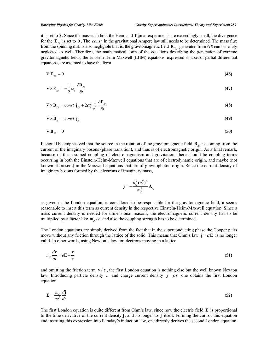it is set to 0 . Since the masses in both the Heim and Tajmar experiments are exceedingly small, the divergence for the  $\mathbf{E}_{gp}$  is set to 0. The *const* in the gravitational Ampere law still needs to be determined. The mass flux from the spinning disk is also negligible that is, the gravitomagnetic field  $\mathbf{B}_{G_0}$  generated from *GR* can be safely neglected as well. Therefore, the mathematical form of the equations describing the generation of extreme gravitomagnetic fields, the Einstein-Heim-Maxwell (EHM) equations, expressed as a set of partial differential equations, are assumed to have the form

$$
\nabla \cdot \mathbf{E}_{gp} = 0 \tag{46}
$$

$$
\nabla \times \mathbf{E}_{gp} = -\frac{1}{2} \alpha_g \frac{\partial \mathbf{B}_{gp}}{\partial t}
$$
 (47)

$$
\nabla \times \mathbf{B}_{gp} = const \mathbf{j}_{gp} + 2\alpha_g^3 \frac{1}{c^2} \frac{\partial \mathbf{E}_{gp}}{\partial t}
$$
 (48)

$$
\nabla \times \mathbf{B}_{gp} = const \mathbf{j}_{gp} \tag{49}
$$

$$
\nabla \cdot \mathbf{B}_{gp} = 0 \tag{50}
$$

It should be emphasized that the source in the rotation of the gravitomagnetic field  $\mathbf{B}_{gp}$  is coming from the current of the imaginary bosons (phase transition), and thus is of electromagnetic origin. As a final remark, because of the assumed coupling of electromagnetism and gravitation, there should be coupling terms occurring in both the Einstein-Heim-Maxwell equations that are of electrodynamic origin, and maybe (not known at present) in the Maxwell equations that are of gravitophoton origin. Since the current density of imaginary bosons formed by the electrons of imaginary mass,

$$
\mathbf{j}=-\frac{n_{e_i}^B(e_I^B)^2}{m_{e_i}^B}\mathbf{A}_{e_I}
$$

as given in the London equation, is considered to be responsible for the gravitomagnetic field, it seems reasonable to insert this term as current density in the respective Einstein-Heim-Maxwell equation. Since a mass current density is needed for dimensional reasons, the electromagnetic current density has to be multiplied by a factor like  $m_p / e$  and also the coupling strength has to be determined.

The London equations are simply derived from the fact that in the superconducting phase the Cooper pairs move without any friction through the lattice of the solid. This means that Ohm's law  $\mathbf{i} = \sigma \mathbf{E}$  is no longer valid. In other words, using Newton's law for electrons moving in a lattice

$$
m_e \frac{d\mathbf{v}}{dt} = e\mathbf{E} + \frac{\mathbf{v}}{\tau}
$$
 (51)

and omitting the friction term  $\mathbf{v}/\tau$ , the first London equation is nothing else but the well known Newton law. Introducing particle density *n* and charge current density  $\mathbf{j} = \rho \mathbf{v}$  one obtains the first London equation

$$
\mathbf{E} = \frac{m_e}{ne^2} \frac{d\mathbf{j}}{dt} \tag{52}
$$

The first London equation is quite different from Ohm's law, since now the electric field  $\bf{E}$  is proportional to the time derivative of the current density **j**, and no longer to **j** itself. Forming the curl of this equation and inserting this expression into Faraday's induction law, one directly derives the second London equation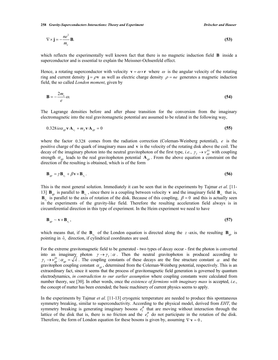**258** *Gravity-Superconductors Interactions: Theory and Experiment Dröscher and Hauser* 

$$
\nabla \times \mathbf{j} = -\frac{ne^2}{m_e} \mathbf{B}.
$$
 (53)

which reflects the experimentally well known fact that there is no magnetic induction field **B** inside a superconductor and is essential to explain the Meissner-Ochsenfeld effect.

Hence, a rotating superconductor with velocity  $\mathbf{v} = \omega \times \mathbf{r}$  where  $\omega$  is the angular velocity of the rotating ring and current density  $\mathbf{i} = \rho \mathbf{v}$  as well as electric charge density  $\rho = ne$  generates a magnetic induction field, the so called *London moment*, given by

$$
\mathbf{B} = -\frac{2m_e}{e}\omega. \tag{54}
$$

The Lagrange densities before and after phase transition for the conversion from the imaginary electromagnetic into the real gravitomagnetic potential are assumed to be related in the following way,

$$
0.328 \, i e \alpha_{gp} \mathbf{v} \cdot \mathbf{A}_{e_1} + m_p \mathbf{v} \cdot \mathbf{A}_{gp} = 0 \tag{55}
$$

where the factor 0.328 comes from the radiation correction (Coleman-Weinberg potential), *e* is the positive charge of the quark of imaginary mass and **v** is the velocity of the rotating disk above the coil. The decay of the imaginary photon into the neutral gravitophoton of the first type, *i.e.*,  $\gamma_I \to \nu_{gp}^{01}$  with coupling strength  $\alpha_{gp}$  leads to the real gravitophoton potential  $\mathbf{A}_{gp}$ . From the above equation a constraint on the direction of the resulting is obtained, which is of the form

$$
\mathbf{B}_{gp} = \gamma \mathbf{B}_{e_i} + \beta \mathbf{v} \times \mathbf{B}_{e_i}. \tag{56}
$$

This is the most general solution. Immediately it can be seen that in the experiments by Tajmar *et al.* [11- 13]  $\mathbf{B}_{gp}$  is parallel to  $\mathbf{B}_{e_i}$ , since there is a coupling between velocity **v** and the imaginary field  $\mathbf{B}_{e_i}$  that is,  $\mathbf{B}_{e_i}$  is parallel to the axis of rotation of the disk. Because of this coupling,  $\beta = 0$  and this is actually seen in the experiments of the gravity-like field. Therefore the resulting acceleration field always is in circumferential direction in this type of experiment. In the Heim experiment we need to have

$$
\mathbf{B}_{gp} \sim \mathbf{v} \times \mathbf{B}_{e_i},\tag{57}
$$

which means that, if the  $\mathbf{B}_{e}$  of the London equation is directed along the *z*-axis, the resulting  $\mathbf{B}_{gp}$  is pointing in  $\hat{e}_r$  direction, if cylindrical coordinates are used.

For the extreme gravitomagnetic field to be generated - two types of decay occur - first the photon is converted into an imaginary photon  $\gamma \to \gamma_I : \alpha$ . Then the neutral gravitophoton is produced according to  $\gamma_I \to \nu_{gp}^{01} : \alpha_{gp} = \sqrt{\lambda}$ . The coupling constants of these decays are the fine structure constant  $\alpha$  and the gravitophon coupling constant  $\alpha_{gp}$ , determined from the Coleman-Weinberg potential, respectively. This is an extraordinary fact, since it seems that the process of gravitomagnetic field generation is governed by quantum electrodynamics, *in contradiction to our earlier assumption* where coupling constants were calculated from number theory, see [30]. In other words, once the *existence of fermions with imaginary mass* is accepted, *i.e.*, the concept of matter has been extended; the basic machinery of current physics seems to apply.

In the experiments by Tajmar *et al.* [11-13] cryogenic temperature are needed to produce this spontaneous symmetry breaking, similar to superconductivity. According to the physical model, derived from *EHT*, the symmetry breaking is generating imaginary bosons  $e_i^B$  that are moving without interaction through the lattice of the disk that is, there is no friction and the  $e_i^B$  do not participate in the rotation of the disk. Therefore, the form of London equation for these bosons is given by, assuming  $\nabla \cdot \mathbf{v} = 0$ ,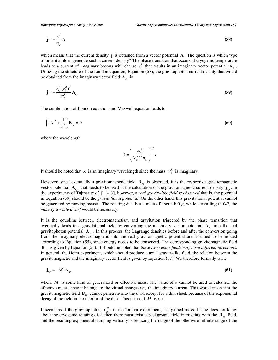$$
\mathbf{j} = -\frac{n^2}{m_e} \mathbf{A} \tag{58}
$$

which means that the current density **j** is obtained from a vector potential **A** . The question is which type of potential does generate such a current density? The phase transition that occurs at cryogenic temperature leads to a current of imaginary bosons with charge  $e_i^B$  that results in an imaginary vector potential  $A_{e_i}$ . Utilizing the structure of the London equation, Equation (58), the gravitophoton current density that would be obtained from the imaginary vector field  $A_{e}$  is

$$
\mathbf{j} = -\frac{n_{e_i}^B (e_i^B)^2}{m_{e_i}^B} \mathbf{A}_{e_i}
$$
 (59)

The combination of London equation and Maxwell equation leads to

$$
\left(-\nabla^2 + \frac{1}{\lambda^2}\right)\mathbf{B}_{e_i} = 0\tag{60}
$$

where the wavelength

$$
\lambda = \left(\frac{m_{e_i}^B}{(e_{e_i}^B)^2 n_{e_i}}\right)^{1/2}.
$$

It should be noted that  $\lambda$  is an imaginary wavelength since the mass  $m_{e_i}^B$  is imaginary.

However, since eventually a gravitomagnetic field  $\mathbf{B}_{gp}$  is observed, it is the respective gravitomagnetic vector potential  $A_{g_p}$  that needs to be used in the calculation of the gravitomagnetic current density  $\mathbf{j}_{g_p}$ . In the experiments of Tajmar *et al.* [11-13], however, a *real gravity-like field is observed* that is, the potential in Equation (59) should be the *gravitational potential*. On the other hand, this gravitational potential cannot be generated by moving masses. The rotating disk has a mass of about 400 g, while, according to *GR*, the *mass of a white dwarf* would be necessary.

It is the coupling between electromagnetism and gravitation triggered by the phase transition that eventually leads to a gravitational field by converting the imaginary vector potential **A**<sub>*e*</sub> into the real gravitophoton potential  $\mathbf{A}_{g}$ . In this process, the Lagrange densities before and after the conversion going from the imaginary electromagnetic into the real gravitomagnetic potential are assumed to be related according to Equation (55), since energy needs to be conserved. The corresponding gravitomagnetic field **B***gp* is given by Equation (56). It should be noted that *these two vector fields may have different directions*. In general, the Heim experiment, which should produce a axial gravity-like field, the relation between the gravitomagnetic and the imaginary vector field is given by Equation (57). We therefore formally write

$$
\mathbf{j}_{gp} = -M^2 \mathbf{A}_{gp} \tag{61}
$$

where M is some kind of generalized or effective mass. The value of  $\lambda$  cannot be used to calculate the effective mass, since it belongs to the virtual charges *i.e.,* the imaginary current. This would mean that the gravitomagnetic field **B***gp* cannot penetrate into the disk, except for a thin sheet, because of the exponential decay of the field in the interior of the disk. This is true if *M* is real.

It seems as if the gravitophoton,  $v_{gp}^{02}$ , in the Tajmar experiment, has gained mass. If one does not know about the cryogenic rotating disk, then there must exist a background field interacting with the **B***gp* field, and the resulting exponential damping virtually is reducing the range of the otherwise infinite range of the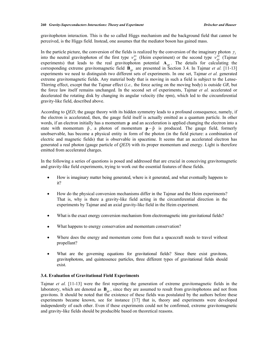gravitophoton interaction. This is the so called Higgs mechanism and the background field that cannot be perceived, is the Higgs field. Instead, one assumes that the mediator boson has gained mass.

In the particle picture, the conversion of the fields is realized by the conversion of the imaginary photon  $\gamma_I$ into the neutral gravitophoton of the first type  $v_{gp}^{01}$  (Heim experiment) or the second type  $v_{gp}^{02}$  (Tajmar experiments) that leads to the real gravitophoton potential  $A_{\text{on}}$ . The details for calculating the corresponding extreme gravitomagnetic field **B***gp* are presented in Section 3.4. In Tajmar *et al.* [11-13] experiments we need to distinguish two different sets of experiments. In one set, Tajmar *et al.* generated extreme gravitomagnetic fields. Any material body that is moving in such a field is subject to the Lense-Thirring effect, except that the Tajmar effect (*i.e.,* the force acting on the moving body) is outside *GR*, but the force law itself remains unchanged. In the second set of experiments, Tajmar *et al.* accelerated or decelerated the rotating disk by changing its angular velocity (the rpm), which led to the circumferential gravity-like field, described above.

According to *QED*, the gauge theory with its hidden symmetry leads to a profound consequence, namely, if the electron is accelerated, then, the gauge field itself is actually emitted as a quantum particle. In other words, if an electron initially has a momentum **p** and an acceleration is applied changing the electron into a state with momentum  $\tilde{p}$ , a photon of momentum  $p - \tilde{p}$  is produced. The gauge field, formerly unobservable, has become a physical entity in form of the photon (in the field picture: a combination of electric and magnetic fields) that is observable in spacetime. It seems that an accelerated electron has generated a real photon (gauge particle of *QED*) with its proper momentum and energy. Light is therefore emitted from accelerated charges.

In the following a series of questions is posed and addressed that are crucial in conceiving gravitomagnetic and gravity-like field experiments, trying to work out the essential features of these fields.

- x How is imaginary matter being generated, where is it generated, and what eventually happens to it?
- x How do the physical conversion mechanisms differ in the Tajmar and the Heim experiments? That is, why is there a gravity-like field acting in the circumferential direction in the experiments by Tajmar and an axial gravity-like field in the Heim experiment.
- What is the exact energy conversion mechanism from electromagnetic into gravitational fields?
- What happens to energy conservation and momentum conservation?
- Where does the energy and momentum come from that a spacecraft needs to travel without propellant?
- What are the governing equations for gravitational fields? Since there exist gravitons, gravitophotons, and quintessence particles, three different types of gravitational fields should exist.

#### **3.4. Evaluation of Gravitational Field Experiments**

Tajmar *et al.* [11-13] were the first reporting the generation of extreme gravitomagnetic fields in the laboratory, which are denoted as  $\mathbf{B}_{gp}$ , since they are assumed to result from gravitophotons and not from gravitons. It should be noted that the existence of these fields was postulated by the authors before these experiments became known, see for instance [17] that is, theory and experiments were developed independently of each other. Even if these experiments could not be confirmed, extreme gravitomagnetic and gravity-like fields should be producible based on theoretical reasons.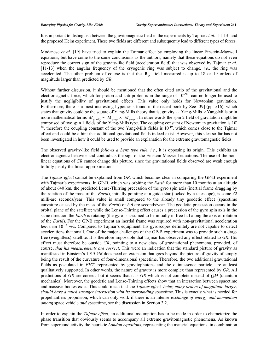It is important to distinguish between the gravitomagnetic field in the experiments by Tajmar *et al.* [11-13] and the proposed Heim experiment. These two fields are different and subsequently lead to different types of forces.

Modanese *et al.* [19] have tried to explain the Tajmar effect by employing the linear Einstein-Maxwell equations, but have come to the same conclusions as the authors, namely that these equations do not even reproduce the correct sign of the gravity-like field (acceleration field) that was observed by Tajmar *et al.* [11-13] when the angular frequency of the cryogenic ring was subject to change, *i.e.,* the ring was accelerated. The other problem of course is that the  $\mathbf{B}_{gp}$  field measured is up to 18 or 19 orders of magnitude larger than predicted by *GR*.

Without further discussion, it should be mentioned that the often cited ratio of the gravitational and the electromagnetic force, which for proton and anti-proton is in the range of  $10^{-38}$ , can no longer be used to justify the negligibility of gravitational effects. This value only holds for Newtonian gravitation. Furthermore, there is a most interesting hypothesis found in the recent book by Zee [39] (pp. 516), which states that gravity could be the square of Yang-Mills theory that is, gravity  $\sim$  Yang-Mills  $\times$  Yang-Mills or in more mathematical terms  $M_{\text{gravity}} \sim M_{\text{gauge}} \times M_{\text{gauge}}$ . In other words the spin 2 field of gravitation might be comprised of two spin 1 fields of the Yang-Mills type. The coupling constant of Newtonian gravitation is 10<sup>-</sup>  $38$ , therefore the coupling constant of the two Yang-Mills fields is  $10^{-19}$ , which comes close to the Tajmar effect and could be a hint that additional gravitational fields indeed exist. However, this idea so far has not been investigated in how it could be used to provide an explanation for the extreme gravitomagnetic fields.

The observed gravity-like field *follows a Lenz type rule*, *i.e.*, it is opposing its origin. This exhibits an electromagnetic behavior and contradicts the sign of the Einstein-Maxwell equations. The use of the nonlinear equations of *GR* cannot change this picture, since the gravitational fields observed are weak enough to fully justify the linear approximation.

The *Tajmar effect* cannot be explained from *GR*, which becomes clear in comparing the GP-B experiment with Tajmar's experiments. In GP-B, which was orbiting the *Earth* for more than 10 months at an altitude of about 640 km, the predicted Lense-Thirring precession of the gyro spin axis (inertial frame dragging by the rotation of the mass of the *Earth*), initially pointing at a guide star (locked by a telescope), is some *42* milli-arc seconds/year. This value is small compared to the already tiny geodetic effect (spacetime curvature caused by the mass of the *Earth*) of *6.6* arc seconds/year. The geodetic precession occurs in the orbital plane of the satellite; while the Lense-Thirring effect causes a precession of the gyro spin axis in the same direction the *Earth* is rotating (the gyro is assumed to be initially in free fall along the axis of rotation of the *Earth*). For the GP-B experiment an inertial frame was required with non-gravitational acceleration less than  $10^{-13}$   $m/s$ . Compared to Tajmar's equipment, his gyroscopes definitely are not capable to detect accelerations that small. One of the major challenges of the GP-B experiment was to provide such a dragfree (weightless) satellite. It is therefore impossible that Tajmar has observed any effect related to *GR*. His effect must therefore be outside *GR*, pointing to a new class of gravitational phenomena, provided, of course, *that his measurements are correct*. This were an indication that the standard picture of gravity as manifested in Einstein's 1915 *GR* does need an extension that goes beyond the picture of gravity of simply being the result of the curvature of four-dimensional spacetime. Therefore, the two additional gravitational fields as postulated in *EHT*, represented by gravitophotons and the quintessence particle, are at least qualitatively supported. In other words, the nature of gravity is more complex than represented by *GR*. All predictions of *GR* are correct, but it seems that it is *GR* which is not complete instead of *QM* (quantum mechanics). Moreover, the geodetic and Lense-Thirring effects show that an interaction between spacetime and massive bodies exist. This could mean that the *Tajmar effect, being many orders of magnitude larger, should have a much stronger interaction with its surrounding* spacetime. This is exactly what is needed for propellantless propulsion, which can only work if there is an intense *exchange of energy and momentum among* space vehicle *and* spacetime, see the discussion in Section 3.2.

In order to explain the *Tajmar effect*, an additional assumption has to be made in order to characterize the phase transition that obviously seems to accompany all extreme gravitomagnetic phenomena. As known from superconductivity the heuristic *London equations*, representing the material equations, in combination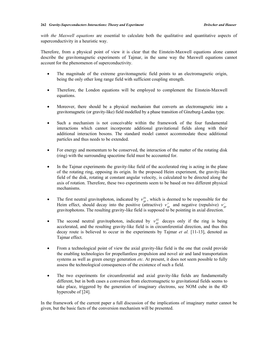*with the Maxwell equations* are essential to calculate both the qualitative and quantitative aspects of superconductivity in a heuristic way.

Therefore, from a physical point of view it is clear that the Einstein-Maxwell equations alone cannot describe the gravitomagnetic experiments of Tajmar, in the same way the Maxwell equations cannot account for the phenomenon of superconductivity.

- The magnitude of the extreme gravitomagnetic field points to an electromagnetic origin, being the only other long range field with sufficient coupling strength.
- Therefore, the London equations will be employed to complement the Einstein-Maxwell equations.
- x Moreover, there should be a physical mechanism that converts an electromagnetic into a gravitomagnetic (or gravity-like) field modelled by a phase transition of Ginzburg-Landau type.
- Such a mechanism is not conceivable within the framework of the four fundamental interactions which cannot incorporate additional gravitational fields along with their additional interaction bosons. The standard model cannot accommodate these additional particles and thus needs to be extended.
- For energy and momentum to be conserved, the interaction of the matter of the rotating disk (ring) with the surrounding spacetime field must be accounted for.
- In the Tajmar experiments the gravity-like field of the accelerated ring is acting in the plane of the rotating ring, opposing its origin. In the proposed Heim experiment, the gravity-like field of the disk, rotating at constant angular velocity, is calculated to be directed along the axis of rotation. Therefore, these two experiments seem to be based on two different physical mechanisms.
- The first neutral gravitophoton, indicated by  $v_{gp}^{01}$ , which is deemed to be responsible for the Heim effect, should decay into the positive (attractive)  $v_{gp}^+$  and negative (repulsive)  $v_{gp}^$ gravitophotons. The resulting gravity-like field is supposed to be pointing in axial direction.
- The second neutral gravitophoton, indicated by  $v_{gp}^{02}$  decays only if the ring is being accelerated, and the resulting gravity-like field is in circumferential direction, and thus this decay route is believed to occur in the experiments by Tajmar *et al.* [11-13], denoted as Tajmar effect.
- From a technological point of view the axial gravity-like field is the one that could provide the enabling technologies for propellantless propulsion and novel air and land transportation systems as well as green energy generation *etc.* At present, it does not seem possible to fully assess the technological consequences of the existence of such a field.
- The two experiments for circumferential and axial gravity-like fields are fundamentally different, but in both cases a conversion from electromagnetic to gravitational fields seems to take place, triggered by the generation of imaginary electrons, see NOM cube in the 4D hypercube of [24].

In the framework of the current paper a full discussion of the implications of imaginary matter cannot be given, but the basic facts of the conversion mechanism will be presented.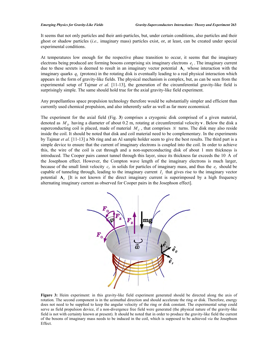It seems that not only particles and their anti-particles, but, under certain conditions, also particles and their ghost or shadow particles (*i.e.,* imaginary mass) particles exist, or, at least, can be created under special experimental conditions.

At temperatures low enough for the respective phase transition to occur, it seems that the imaginary electrons being produced are forming bosons comprising six imaginary electrons  $e_i$ . The imaginary current due to these sextets is deemed to result in an imaginary vector potential  $A<sub>I</sub>$  whose interaction with the imaginary quarks  $q_i$  (protons) in the rotating disk is eventually leading to a real physical interaction which appears in the form of gravity-like fields. The physical mechanism is complex, but, as can be seen from the experimental setup of Tajmar *et al.* [11-13], the generation of the circumferential gravity-like field is surprisingly simple. The same should hold true for the axial gravity-like field experiment.

Any propellantless space propulsion technology therefore would be substantially simpler and efficient than currently used chemical propulsion, and also inherently safer as well as far more economical.

The experiment for the axial field (Fig. **3**) comprises a cryogenic disk comprised of a given material, denoted as  $M<sub>D</sub>$  having a diameter of about 0.2 m, rotating at circumferential velocity **v**. Below the disk a superconducting coil is placed, made of material  $M<sub>C</sub>$ , that comprises N turns. The disk may also reside inside the coil. It should be noted that disk and coil material need to be complementary. In the experiments by Tajmar *et al.* [11-13] a Nb ring and an Al sample holder seem to give the best results. The third part is a simple device to ensure that the current of imaginary electrons is coupled into the coil. In order to achieve this, the wire of the coil is cut through and a non-superconducting disk of about 1 mm thickness is introduced. The Cooper pairs cannot tunnel through this layer, since its thickness far exceeds the 10 Å of the Josephson effect. However, the Compton wave length of the imaginary electrons is much larger, because of the small limit velocity  $c_i$  in solids for particles of imaginary mass, and thus the  $e_i$  should be capable of tunneling through, leading to the imaginary current  $I<sub>I</sub>$  that gives rise to the imaginary vector potential  $A<sub>I</sub>$  [It is not known if the direct imaginary current is superimposed by a high frequency alternating imaginary current as observed for Cooper pairs in the Josephson effect].



**Figure 3:** Heim experiment: in this gravity-like field experiment generated should be directed along the axis of rotation. The second component is in the azimuthal direction and should accelerate the ring or disk. Therefore, energy does not need to be supplied to keep the angular velocity of the ring or disk constant. The experimental setup could serve as field propulsion device, if a non-divergence free field were generated (the physical nature of the gravity-like field is not with certainty known at present). It should be noted that in order to produce the gravity-like field the current of the bosons of imaginary mass needs to be induced in the coil, which is supposed to be achieved *via* the Josephson Effect.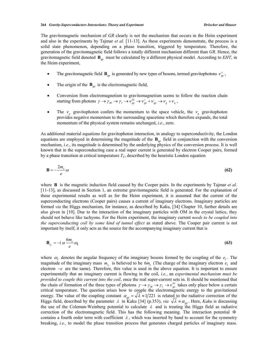The gravitomagnetic mechanism of *GR* clearly is not the mechanism that occurs in the Heim experiment and also in the experiments by Tajmar *et al.* [11-13]. As these experiments demonstrate, the process is a solid state phenomenon, depending on a phase transition, triggered by temperature. Therefore, the generation of the gravitomagnetic field follows a totally different mechanism different than *GR*. Hence, the gravitomagnetic field denoted **B***gp* must be calculated by a different physical model. According to *EHT*, in the Heim experiment,

- The gravitomagnetic field  $\mathbf{B}_{gp}$  is generated by new types of bosons, termed gravitophotons  $v_{gp}^{\pm}$ ,
- The origin of the  $\mathbf{B}_{gp}$  is the electromagnetic field,
- Conversion from electromagnetism to gravitomagnetism seems to follow the reaction chain starting from photons  $\gamma \to \gamma_{IR} \to \gamma_I \to \nu_{gp}^{01} \to \nu_{gp}^+ + \nu_{gp}^- \to \nu_g + \nu_q$ ,
- The  $v_g$  gravitophoton confers the momentum to the space vehicle, the  $v_g$  gravitophoton provides negative momentum to the surrounding spacetime which therefore expands, the total momentum of the physical system remains unchanged, *i.e.*, zero.

As additional material equations for gravitophoton interaction, in analogy to superconductivity, the London equations are employed in determining the magnitude of the **B***gp* field in conjunction with the conversion mechanism, *i.e.*, its magnitude is determined by the underlying physics of the conversion process. It is well known that in the superconducting case a real super current is generated by electron Cooper pairs, formed by a phase transition at critical temperature  $T_C$ , described by the heuristic London equation

$$
\mathbf{B} = -\frac{2m_e}{e}\omega\tag{62}
$$

where **B** is the magnetic induction field caused by the Cooper pairs. In the experiments by Taimar *et al.* [11-13], as discussed in Section 1, an extreme gravitomagnetic field is generated. For the explanation of these experimental results as well as for the Heim experiment, it is assumed that the current of the superconducting electrons (Cooper pairs) causes a current of imaginary electrons. Imaginary particles are formed *via* the Higgs mechanism, for instance, as described by Kaku, [34] Chapter 10, further details are also given in [10]. Due to the interaction of the imaginary particles with OM in the crystal lattice, they should not behave like tachyons. For the Heim experiment, the imaginary current *needs to be coupled into the superconducting coil by some kind of tunnel effect* as stated above. The Cooper pair current is not important by itself, it only acts as the source for the accompanying imaginary current that is

$$
\mathbf{B}_{e_1} = -i \alpha \frac{6m_e}{e} \omega_1 \tag{63}
$$

where  $\omega_i$  denotes the angular frequency of the imaginary bosons formed by the coupling of the  $e_i$ . The magnitude of the imaginary mass  $m_e$  is believed to be  $6m_e$  (The charge of the imaginary electron  $e_i$  and electron  $-e$  are the same). Therefore, this value is used in the above equation. It is important to ensure experimentally that an imaginary current is flowing in the coil, *i.e.*, an *experimental mechanism must be provided to couple this current into the coil*, once the real super-current sets in. It should be mentioned that the chain of formation of the three types of photons  $\gamma \to \gamma_{IR} \to \gamma_I \to \nu_{gp}^{01}$  takes only place below a certain critical temperature. The question arises how to couple the electromagnetic energy to the gravitational energy. The value of the coupling constant  $\alpha_{gp} = \sqrt{\lambda} \approx 1/221$  is related to the radiative correction of the Higgs field, described by the parameter  $\lambda$  in Kaku [34] (p.353), *via*  $\sqrt{\lambda} \approx \alpha_{gp}$ . Here, *Kaku* is discussing the use of the Coleman-Weinberg potential to calculate  $\lambda$  and is treating the Higgs field as radiative correction of the electromagnetic field. This has the following meaning. The interaction potential  $\Phi$ contains a fourth order term with coefficient  $\lambda$ , which was inserted by hand to account for the symmetry breaking, *i.e.,* to model the phase transition process that generates charged particles of imaginary mass.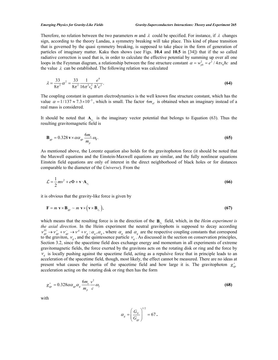Therefore, no relation between the two parameters *m* and  $\lambda$  could be specified. For instance, if  $\lambda$  changes sign, according to the theory Landau, a symmetry breaking will take place. This kind of phase transition that is governed by the quasi symmetry breaking, is supposed to take place in the form of generation of particles of imaginary matter. Kaku then shows (see Figs. **10.4** and **10.5** in [34]) that if the so called radiative correction is used that is, in order to calculate the effective potential by summing up over all one loops in the Feynman diagram, a relationship between the fine structure constant  $\alpha = w_{ph}^2 = e^2 / 4\pi\epsilon_0 \hbar c$  and the value  $\lambda$  can be established. The following relation was calculated

$$
\lambda = \frac{33}{8\pi^2} \alpha^2 = \frac{33}{8\pi^2} \frac{1}{16\pi^2 \epsilon_0^2} \frac{e^4}{\hbar^2 c^2}.
$$
\n(64)

The coupling constant in quantum electrodynamics is the well known fine structure constant, which has the value  $\alpha = 1/137 \approx 7.3 \times 10^{-3}$ , which is small. The factor 6*m<sub>eI</sub>* is obtained when an imaginary instead of a real mass is considered.

It should be noted that  $A_{e}$  is the imaginary vector potential that belongs to Equation (63). Thus the resulting gravitomagnetic field is

$$
\mathbf{B}_{gp} = 0.328 \,\mathbf{v} \times \alpha \alpha_{gp} \frac{6m_e}{m_p} \omega_1. \tag{65}
$$

As mentioned above, the Lorentz equation also holds for the gravitophoton force (it should be noted that the Maxwell equations and the Einstein-Maxwell equations are similar, and the fully nonlinear equations Einstein field equations are only of interest in the direct neighborhood of black holes or for distances comparable to the diameter of the *Universe*). From the

$$
\mathcal{L} = \frac{1}{2}mv^2 + e\Phi + \mathbf{v} \cdot \mathbf{A}_{e_i}
$$
 (66)

it is obvious that the gravity-like force is given by

$$
\mathbf{F} = m \mathbf{v} \times \mathbf{B}_{gp} \sim m \mathbf{v} \times (\mathbf{v} \times \mathbf{B}_{e_i}),
$$
 (67)

which means that the resulting force is in the direction of the  $B_{e_i}$  field, which, in the *Heim experiment is the axial direction*. In the Heim experiment the neutral gravitophotn is supposed to decay according the axial direction. In the Heim experiment the neutral gravitophotn is supposed to decay according  $v_{gp}^{01} \rightarrow v_{gp}^* + v_{gp}^- \rightarrow v^* + v_q : \alpha_g, \alpha_g$ , where  $\alpha_g$  and  $\alpha_g$  are the respective coupling constants that correspond to the graviton,  $V_g$ , and the quintessence particle  $V_g$ . As discussed in the section on conservation principles, Section 3.2, since the spacetime field does exchange energy and momentum in all experiments of extreme gravitomagnetic fields, the force exerted by the gravitons acts on the rotating disk or ring and the force by  $v_a$  is locally pushing against the spacetime field, acting as a repulsive force that in principle leads to an acceleration of the spacetime field, though, most likely, the effect cannot be measured. There are no ideas at present what causes the inertia of the spacetime field and how large it is. The gravitophoton  $g_{\text{gp}}^+$ acceleration acting on the rotating disk or ring then has the form

$$
g_{gp}^+ = 0.328 \alpha \alpha_{gp} \alpha_g \frac{6m_e}{m_p} \frac{v^2}{c} \omega_l
$$
 (68)

with

$$
\alpha_{g} = \left(\frac{G_{N}}{G_{gp}}\right)^{1/2} = 67.
$$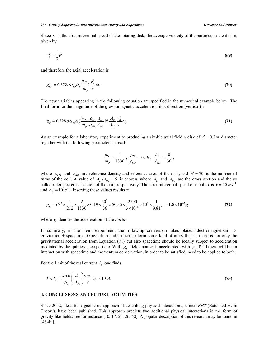Since **v** is the circumferential speed of the rotating disk, the average velocity of the particles in the disk is given by

$$
v_A^2 = \frac{1}{3}v^2 \tag{69}
$$

and therefore the axial acceleration is

$$
g_{gp}^+ = 0.328 \alpha \alpha_{gp} \alpha_g \frac{2m_e}{m_p} \frac{v_A^2}{c} \omega_I.
$$
\n(70)

The new variables appearing in the following equation are specified in the numerical example below. The final form for the magnitude of the gravitomagnetic acceleration in z-direction (vertical) is

$$
g_{g} = 0.328 \alpha \alpha_{gp} \alpha_{g}^{2} \frac{2_{m_e}}{m_p} \frac{\rho_{D}}{\rho_{0D}} \frac{A_{D}}{A_{0D}} N \frac{A_{C}}{A_{0C}} \frac{v_{A}^{2}}{c} \omega_{I}
$$
(71)

As an example for a laboratory experiment to producing a sizable axial field a disk of  $d = 0.2m$  diameter together with the following parameters is used:

$$
\frac{m_e}{m_p} = \frac{1}{1836} \, ; \, \frac{\rho_D}{\rho_{0D}} = 0.19 \, ; \, \frac{A_D}{A_{0D}} = \frac{10^3}{36} \, ,
$$

where  $\rho_{0D}$  and  $A_{0D}$  are reference density and reference area of the disk, and  $N = 50$  is the number of turns of the coil. A value of  $A_c/A_{0c} = 5$  is chosen, where  $A_c$  and  $A_{0c}$  are the cross section and the so called reference cross section of the coil, respectively. The circumferential speed of the disk is  $v = 50$   $ms^{-1}$ and  $\omega_I = 10^5 s^{-1}$ . Inserting these values results in

$$
g_g = 67^2 \times \frac{1}{212} \times \frac{2}{1836} \times 0.19 \times \frac{10^3}{36} \times 50 \times 5 \times \frac{2500}{3 \times 10^{-8}} \times 10^5 \times \frac{1}{9.81} g = 1.8 \times 10^{-2} g
$$
 (72)

where *g* denotes the acceleration of the *Earth*.

In summary, in the Heim experiment the following conversion takes place: Electromagnetism  $\rightarrow$ gravitation + spacetime. Gravitation and spacetime form some kind of unity that is, there is not only the gravitational acceleration from Equation (71) but also spacetime should be locally subject to acceleration mediated by the quintessence particle. With  $g_g$  fields matter is accelerated, with  $g_g$  field there will be an interaction with spacetime and momentum conservation, in order to be satisfied, need to be applied to both.

For the limit of the real current  $I_L$  one finds

$$
I < I_L = \frac{2\pi R}{\mu_0} \left( \frac{A_C}{A_{0C}} \right) \frac{6m_e}{e} \omega_I \approx 10 \, \text{A}.\tag{73}
$$

#### **4. CONCLUSIONS AND FUTURE ACTIVITIES**

Since 2002, ideas for a geometric approach of describing physical interactions, termed *EHT* (Extended Heim Theory), have been published. This approach predicts two additional physical interactions in the form of gravity-like fields; see for instance [10, 17, 20, 26, 50]. A popular description of this research may be found in [46-49].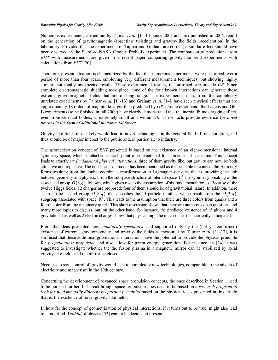Numerous experiments, carried out by Tajmar *et al.* [11-13] since 2003 and first published in 2006, report on the generation of gravitomagnetic (spacetime twisting) and gravity-like fields (acceleration) in the laboratory. Provided that the experiments of Tajmar and Graham are correct, a similar effect should have been observed in the Stanford-NASA Gravity Probe-B experiment. The comparison of predictions from *EHT* with measurements are given in a recent paper comparing gravity-like field experiments with calculations from *EHT* [20].

Therefore, present situation is characterized by the fact that numerous experiments were performed over a period of more than four years, employing very different measurement techniques, but showing highly similar, but totally unexpected results. These experimental results, if confirmed, are outside *GR*. Since complete electromagnetic shielding took place, none of the four known interactions can generate these extreme gravitomagnetic fields that are of long range. The experimental data, from the completely unrelated experiments by Tajmar *et al.* [11-13] and Graham *et al.* [14], have seen physical effects that are approximately 18 orders of magnitude larger than predicted by *GR*. On the other hand, the Lageos and GP-B experiments (to be finished in fall 2009) have clearly demonstrated that the inertial frame dragging effect, even from celestial bodies, is extremely small and within *GR*. These facts provide evidence for *novel physics in the form of additional fundamental forces*.

Gravity-like fields most likely would lead to novel technologies in the general field of transportation, and thus should be of major interest to the public and, in particular, to industry.

The geometrization concept of *EHT* presented is based on the existence of an eight-dimensional internal symmetry space, which is attached to each point of conventional four-dimensional spacetime. This concept leads to exactly *six fundamental physical interactions*, three of them gravity like, but gravity can now be both attractive and repulsive. The non-linear  $\sigma$  -model has been mentioned as the principle to connect the Hermetry forms resulting from the double coordinate transformation to Lagrangian densities that is, providing the link between geometry and physics. From the subspace structure of internal space  $H<sup>8</sup>$  the symmetry breaking of the associated group  $O(8, q)$  follows, which gives rise to the assumption of six fundamental forces. Because of the twelve Higgs fields, 12 charges are proposed; four of them should be of gravitational nature. In addition, there seems to be second group  $O(8, q)$  that describes the 15 particle families, which result from the  $O(3, q)$ subgroup associated with space  $R^3$ . This leads to the assumption that there are three colors from quarks and a fourth color from the imaginary quark. This short discussion shows that there are numerous open questions and many more topics to discuss, but, on the other hand, for instance, the predicted existence of 15 gluons and 4 gravitational as well as 2 electric charges shows that physics might be much richer than currently anticipated.

From the ideas presented here, *admittedly speculative* and supported only by the (not yet confirmed) existence of extreme gravitomagnetic and gravity-like fields as measured by Tajmar *et al.* [11-13], it is surmised that these additional gravitational interactions have the potential to provide the physical principle for *propellantless propulsion* and also allow for green energy generation. For instance, in [24] it was suggested to investigate whether the the fusion plasma in a magnetic mirror can be stabilized by axial gravity-like fields and the mirror be closed.

Needless to say, control of gravity would lead to completely new technologies, comparable to the advent of electricity and magnetism in the 19th century.

Concerning the development of advanced space propulsion concepts, the ones described in Section 1 need to be pursued further, but breakthrough space propulsion does need to be based on a *research program to look for fundamentally different propulsion principles* based on the physical ideas presented in this article that is, the existence of novel gravity-like fields.

In how far the concept of geometrization of physical interactions, if it turns out to be true, might also lead to a modified *Weltbild* of physics [53] cannot be decided at present.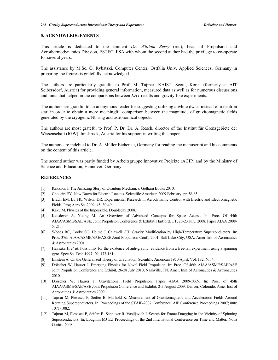#### **5. ACKNOWLEDGEMENTS**

This article is dedicated to the eminent *Dr. William Berry* (ret.), head of Propulsion and Aerothermodynamics Division, ESTEC, ESA with whom the second author had the privilege to co-operate for several years.

The assistance by M.Sc. O. Rybatzki, Computer Center, Ostfalia Univ. Applied Sciences, Germany in preparing the figures is gratefully acknowledged.

The authors are particularly grateful to Prof. M. Tajmar, KAIST, Seoul, Korea (formerly at AIT Seibersdorf, Austria) for providing general information, measured data as well as for numerous discussions and hints that helped in the comparisons between *EHT* results and gravity-like experiments.

The authors are grateful to an anonymous reader for suggesting utilizing a white dwarf instead of a neutron star, in order to obtain a more meaningful comparison between the magnitude of gravitomagnetic fields generated by the cryogenic Nb ring and astronomical objects.

The authors are most grateful to Prof. P. Dr. Dr. A. Resch, director of the Institut für Grenzgebiete der Wissenschaft (IGW), Innsbruck, Austria for his support in writing this paper.

The authors are indebted to Dr. A. Müller Eichenau, Germany for reading the manuscript and his comments on the content of this article.

The second author was partly funded by Arbeitsgruppe Innovative Projekte (AGIP) and by the Ministry of Science and Education, Hannover, Germany.

#### **REFERENCES**

- [1] Kakalios J. The Amazing Story of Quantum Mechanics. Gotham Books 2010.
- [2] Choueiri EY. New Dawn for Electric Rockets. Scientific American 2009 February; pp.58-65.
- [3] Braun EM, Lu FK, Wilson DR. Experimental Research in Aerodynamic Control with Electric and Electromagnetic Fields. Prog Aero Sci 2009; 45: 30-49.
- [4] Kaku M. Physics of the Impossible. Doubleday 2008.
- [5] Ketsdever A, Young M. An Overview of Advanced Concepts for Space Access. In: Proc. Of 44th AIAA/ASME/SAE/ASE, Joint Propulsion Conference & Exhibit. Hartford, CT, 20-23 July, 2008. Paper AIAA 2008- 5121.
- [6] Woods RC, Cooke SG, Helme J, Caldwell CH. Gravity Modification by High-Temperature Superconductors. In: Proc. 37th AIAA/ASME/SAE/ASEE Joint Propulsion Conf.; 2001; Salt Lake City, USA. Amer Inst of Aeronautics & Astronautics 2001.
- [7] Haysaka H *et al.* Possibility for the existence of anti-gravity: evidence from a free-fall experiment using a spinning gyro. Spec Sci Tech 1997; 20: 173-181.
- [8] Einstein A. On the Generalized Theory of Gravitation. Scientific American 1950 April; Vol. 182, Nr. 4.
- [9] Dröscher W, Hauser J. Emerging Physics for Novel Field Propulsion. In: Proc. Of 46th AIAA/ASME/SAE/ASE Joint Propulsion Conference and Exhibit, 26-28 July 2010, Nashville, TN. Amer. Inst. of Aeronautics & Astronautics 2010.
- [10] Dröscher W, Hauser J. Gravitational Field Propulsion. Paper AIAA 2009-5069. In: Proc. of 45th AIAA/ASME/SAE/ASE Joint Propulsion Conference and Exhibit, 2-5 August 2009, Denver, Colorado. Amer Inst of Aeronautics & Astronautics 2009.
- [11] Tajmar M, Plesescu F, Seifert B, Marhold K. Measurement of Gravitomagnetic and Acceleration Fields Around Rotating Superconductors. In: Proceedings of the STAIF-2007 Conference. AIP Conference Proceedings 2007; 880: 1071-1082.
- [12] Tajmar M, Plesescu P, Seifert B, Schnitzer R, Vasiljevich I. Search for Frame-Dragging in the Vicinity of Spinning Superconductors. In: Loughlin MJ Ed. Proceedings of the 2nd International Conference on Time and Matter, Nova Gorica, 2008.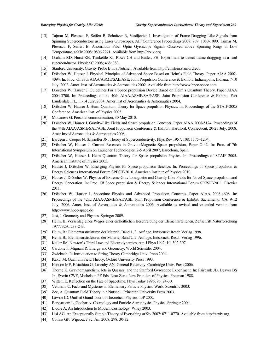- [13] Tajmar M, Plesescu F, Seifert B, Schnitzer R, Vasiljevich I. Investigation of Frame-Dragging-Like Signals from Spinning Superconductors using Laser Gyroscopes. AIP Conference Proceedings 2008; 969: 1080-1090. Tajmar M, Plesescu F, Seifert B. Anomalous Fiber Optic Gyroscope Signals Observed above Spinning Rings at Low Temperature. arXiv 2008: 0806.2271. Available from http://arxiv.org
- [14] Graham RD, Hurst RB, Thirkettle RJ, Rowe CH and Butler, PH. Experiment to detect frame dragging in a lead superconductor. Physica C 2008; 468: 383.
- [15] Stanford University. Gravity Probe B in a Nutshell. Available from http://einstein.stanford.edu
- [16] Dröscher W, Hauser J. Physical Principles of Advanced Space Based on Heim's Field Theory. Paper AIAA 2002-4094. In: Proc. Of 38th AIAA/ASME/SAE/ASE, Joint Propulsion Conference & Exhibit, Indianapolis, Indiana, 7-10 July, 2002. Amer. Inst. of Aeronautics & Astronautics 2002. Available from http://www.hpcc-space.com
- [17] Dröscher W, Hauser J. Guidelines For a Space propulsion Device Based on Heim's Quantum Theory. Paper AIAA 2004-3700. In: Proceedings of the 40th AIAA/ASME/SAE/ASE, Joint Propulsion Conference & Exhibit, Fort Lauderdale, FL, 11-14 July, 2004. Amer Inst of Aeronautics & Astronautics 2004.
- [18] Dröscher W, Hauser J. Heim Quantum Theory for Space propulsion Physics. In: Proceedings of the STAIF-2005 Conference. American Inst. of Physics 2005.
- [19] Modanese G. Personal communication, 30 May 2010.
- [20] Dröscher W, Hauser J. Gravity-Like Fields and Space propulsion Concepts. Paper AIAA 2008-5124. Proceedings of the 44th AIAA/ASME/SAE/ASE, Joint Propulsion Conference & Exhibit, Hardford, Connecticut, 20-23 July, 2008. Amer Instof Aeronautics & Astronautics 2008.
- [21] Bardeen J, Cooper N, Schrieffer JN. Theory of Superconductivity. Phys Rev 1957; 108: 1175-1204.
- [22] Dröscher W, Hauser J. Current Research in Gravito-Magnetic Space propulsion, Paper O-42. In: Proc. of 7th International Symposium on Launcher Technologies, 2-5 April 2007, Barcelona, Spain.
- [23] Dröscher W, Hauser J. Heim Quantum Theory for Space propulsion Physics. In: Proceedings of STAIF 2005. American Institute of Physics 2005.
- [24] Hauser J, Dröscher W. Emerging Physics for Space propulsion Science. In: Proceedings of Space propulsion & Energy Sciences International Forum SPESIF-2010. American Institute of Physics 2010.
- [25] Hauser J, Dröscher W. Physics of Extreme Gravitomagnetic and Gravity-Like Fields for Novel Space propulsion and Energy Generation. In: Proc. Of Space propulsion & Energy Sciences International Forum SPESIF-2011. Elsevier 2011.
- [26] Dröscher W, Hauser J. Spacetime Physics and Advanced Propulsion Concepts. Paper AIAA 2006-4608. In: Proceedings of the 42nd AIAA/ASME/SAE/ASE, Joint Propulsion Conference & Exhibit, Sacramento, CA, 9-12 July, 2006. Amer. Inst. of Aeronautics & Astronautics 2006. Available as revised and extended version from http://www.hpcc-space.de
- [27] Jost, J. Geometry and Physics. Springer 2009.
- [28] Heim, B. Vorschlag eines Weges einer einheitlichen Beschreibung der Elementarteilchen, Zeitschrift Naturforschung 1977; 32A: 233-243.
- [29] Heim, B.: Elementarstrukturen der Materie, Band 1, 3. Auflage. Innsbruck: Resch Verlag 1998.
- [30] Heim, B.: Elementarstrukturen der Materie, Band 2, 2. Auflage. Innsbruck: Resch Verlag 1996.
- [31] Keller JM. Newton's Third Law and Electrodynamics, Am J Phys 1942; 10: 302-307.
- [32] Cardone F, Mignani R. Energy and Geometry, World Scientific 2004.
- [33] Zwiebach, R. Introduction to String Theory Cambridge Univ. Press 2004.
- [34] Kaku, M. Quantum Field Theory, Oxford University Press 1993.
- [35] Hobson MP, Efstathiou G, Lasenby AN. General Relativity. Cambridge Univ. Press 2006.
- [36] Thorne K. Gravitomagnetism, Jets in Quasars, and the Stanford Gyroscope Experiment. In: Fairbank JD, Deaver BS Jr., Everitt CWF, Michelson PF Eds. Near Zero: New Frontiers of Physics. Freeman 1988.
- [37] Witten, E. Reflection on the Fate of Spacetime. Phys Today 1996; 96: 24-30.
- [38] Veltman, C. Facts and Mysteries in Elementary Particle Physics. World Scientific 2003.
- [39] Zee, A. Quantum Field Theory in a Nutshell. Princeton University Press 2003.
- [40] Lawrie ID. Unified Grand Tour of Theoretical Physics. IoP 2002.
- [41] Bergstroem L, Goobar A. Cosmology and Particle Astrophysics Physics. Springer 2004.
- [42] Liddle A. An Introduction to Modern Cosmology. Wiley 2003.
- [43] Lisi AG. An Exceptionally Simple Theory of Everything arXiv 2007: 0711.0770. Available from http://arxiv.org
- [44] Collins GP. Wipeout ? Sci Am 2008; 298: 30-32.